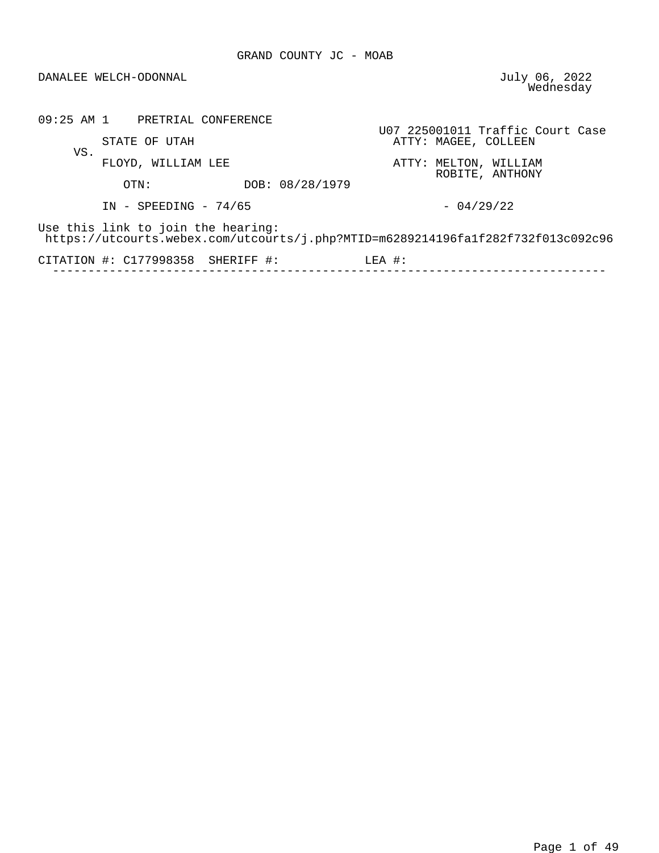## DANALEE WELCH-ODONNAL

July 06, 2022<br>Wednesday

|     | 09:25 AM 1 PRETRIAL CONFERENCE                                                                                         |                 |          |                                          |                                  |  |
|-----|------------------------------------------------------------------------------------------------------------------------|-----------------|----------|------------------------------------------|----------------------------------|--|
| VS. | STATE OF UTAH                                                                                                          |                 |          | ATTY: MAGEE, COLLEEN                     | U07 225001011 Traffic Court Case |  |
|     | FLOYD, WILLIAM LEE                                                                                                     |                 |          | ATTY: MELTON, WILLIAM<br>ROBITE, ANTHONY |                                  |  |
|     | OTN:                                                                                                                   | DOB: 08/28/1979 |          |                                          |                                  |  |
|     | $IN - SPEEDING - 74/65$                                                                                                |                 |          | $-04/29/22$                              |                                  |  |
|     | Use this link to join the hearing:<br>https://utcourts.webex.com/utcourts/j.php?MTID=m6289214196fa1f282f732f013c092c96 |                 |          |                                          |                                  |  |
|     | CITATION $\#$ : C177998358 SHERIFF $\#$ :                                                                              |                 | $LEA$ #: |                                          |                                  |  |
|     |                                                                                                                        |                 |          |                                          |                                  |  |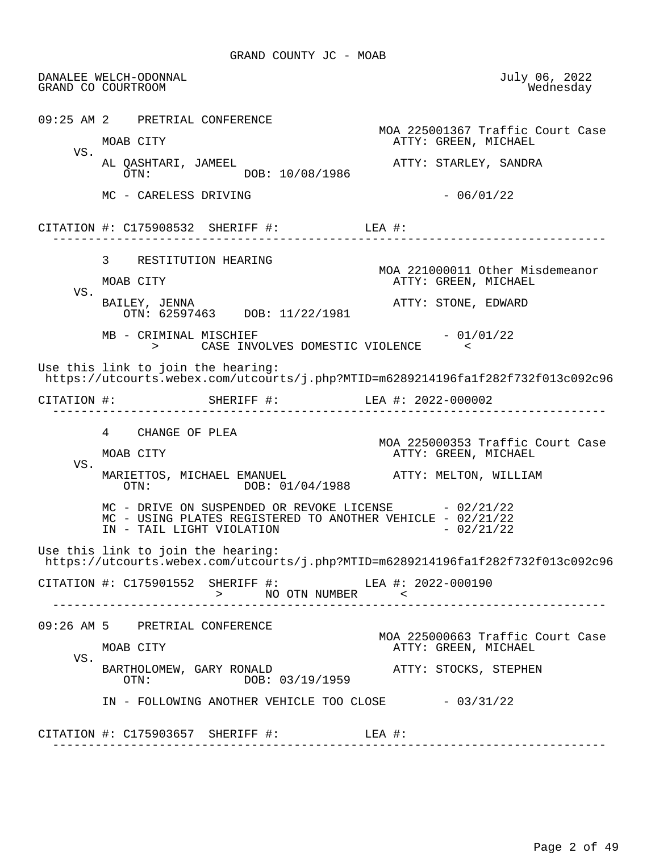DANALEE WELCH-ODONNAL July 06, 2022 GRAND CO COURTROOM 09:25 AM 2 PRETRIAL CONFERENCE MOA 225001367 Traffic Court Case ATTY: GREEN, MICHAEL VS.<br>AL QASHTARI, JAMEEL AL QASHTARI, JAMEEL ATTY: STARLEY, SANDRA DOB: 10/08/1986  $MC - CARELESS DRIVING$  - 06/01/22 CITATION #: C175908532 SHERIFF #: LEA #: ------------------------------------------------------------------------------ 3 RESTITUTION HEARING MOA 221000011 Other Misdemeanor ATTY: GREEN, MICHAEL VS.<br>BAILEY, JENNA ATTY: STONE, EDWARD OTN: 62597463 DOB: 11/22/1981  $MB - CRIMINAL$  MISCHIEF  $- 01/01/22$  > CASE INVOLVES DOMESTIC VIOLENCE < Use this link to join the hearing: https://utcourts.webex.com/utcourts/j.php?MTID=m6289214196fa1f282f732f013c092c96 CITATION #: SHERIFF #: LEA #: 2022-000002 ------------------------------------------------------------------------------ 4 CHANGE OF PLEA MOA 225000353 Traffic Court Case ATTY: GREEN, MICHAEL VS. MARIETTOS, MICHAEL EMANUEL (ATTY: MELTON, WILLIAM OTN: 01/04/1988) DOB: 01/04/1988  $MC$  - DRIVE ON SUSPENDED OR REVOKE LICENSE  $-02/21/22$ MC - USING PLATES REGISTERED TO ANOTHER VEHICLE - 02/21/22<br>IN - TAIL LIGHT VIOLATION IN - TAIL LIGHT VIOLATION Use this link to join the hearing: https://utcourts.webex.com/utcourts/j.php?MTID=m6289214196fa1f282f732f013c092c96 CITATION #: C175901552 SHERIFF #: LEA #: 2022-000190 > NO OTN NUMBER < ------------------------------------------------------------------------------ 09:26 AM 5 PRETRIAL CONFERENCE MOA 225000663 Traffic Court Case ATTY: GREEN, MICHAEL VS. BARTHOLOMEW, GARY RONALD<br>
OTN: DOB: 03/19/1959<br>
ATTY: STOCKS, STEPHEN DOB: 03/19/1959  $IN - FOLLOWING ANOTHER VEHICLE TOO CLOSE -  $03/31/22$$ CITATION #: C175903657 SHERIFF #: LEA #: ------------------------------------------------------------------------------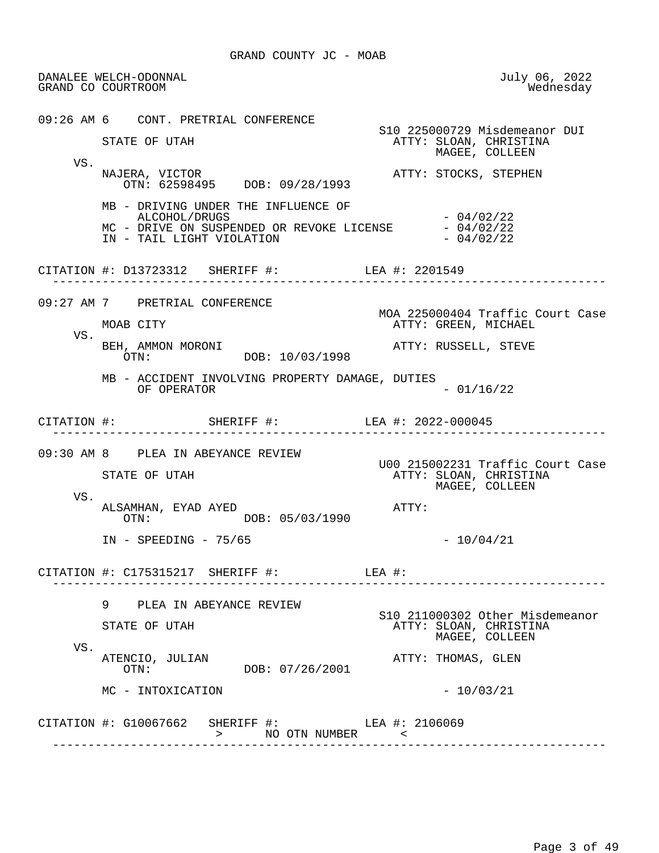DANALEE WELCH-ODONNAL July 06, 2022 GRAND CO COURTROOM 09:26 AM 6 CONT. PRETRIAL CONFERENCE S10 225000729 Misdemeanor DUI<br>STATE OF UTAH THE STATE OF UTAH THE STATE OF UTAH STATE OF UTAH ATTY: SLOAN, CHRISTINA MAGEE, COLLEEN VS.<br>NAJERA, VICTOR ATTY: STOCKS, STEPHEN OTN: 62598495 DOB: 09/28/1993 MB - DRIVING UNDER THE INFLUENCE OF  $ALCOHOL/DRUGS$  - 04/02/22 MC - DRIVE ON SUSPENDED OR REVOKE LICENSE  $-04/02/22$ <br>IN - TAIL LIGHT VIOLATION  $-04/02/22$ IN - TAIL LIGHT VIOLATION CITATION #: D13723312 SHERIFF #: LEA #: 2201549 ------------------------------------------------------------------------------ 09:27 AM 7 PRETRIAL CONFERENCE MOA 225000404 Traffic Court Case<br>MOAB CITY CAREN, MICHAEL ATTY: GREEN, MICHAEL VS. BEH, AMMON MORONI ATTY: RUSSELL, STEVE OTN: DOB: 10/03/1998 MB - ACCIDENT INVOLVING PROPERTY DAMAGE, DUTIES  $OF$  OPERATOR  $-$  01/16/22 CITATION #: SHERIFF #: LEA #: 2022-000045 ------------------------------------------------------------------------------ 09:30 AM 8 PLEA IN ABEYANCE REVIEW U00 215002231 Traffic Court Case ATTY: SLOAN, CHRISTINA MAGEE, COLLEEN VS. ALSAMHAN, EYAD AYED **ATTY:**  OTN: DOB: 05/03/1990 IN - SPEEDING - 75/65 - 10/04/21 CITATION #: C175315217 SHERIFF #: LEA #: ------------------------------------------------------------------------------ 9 PLEA IN ABEYANCE REVIEW S10 211000302 Other Misdemeanor ATTY: SLOAN, CHRISTINA MAGEE, COLLEEN VS.<br>ATENCIO, JULIAN ATENCIO, JULIAN ATTY: THOMAS, GLEN DOB: 07/26/2001  $MC - INTOXICATION$  - 10/03/21 CITATION #: G10067662 SHERIFF #: LEA #: 2106069 > NO OTN NUMBER < ------------------------------------------------------------------------------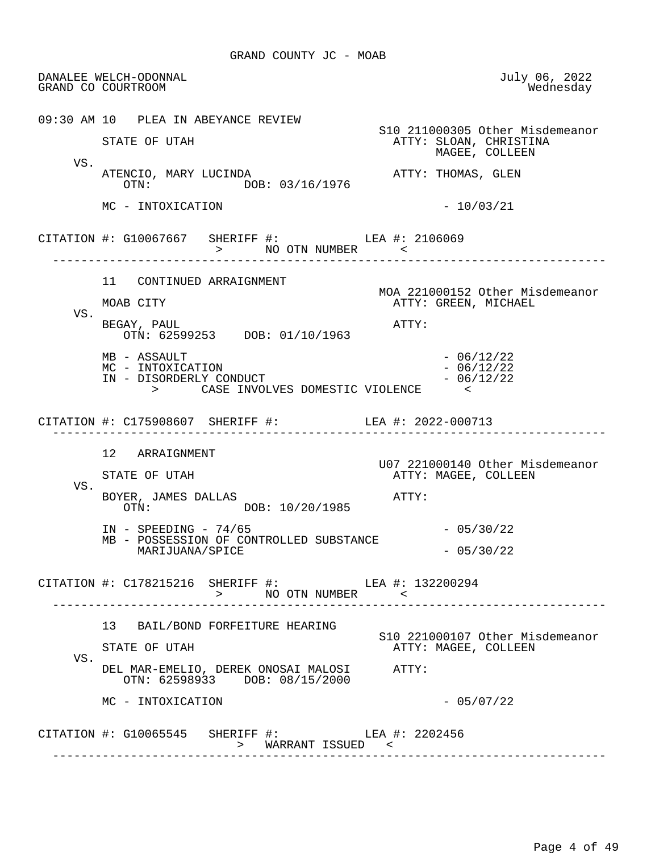DANALEE WELCH-ODONNAL July 06, 2022 GRAND CO COURTROOM 09:30 AM 10 PLEA IN ABEYANCE REVIEW S10 211000305 Other Misdemeanor STATE OF UTAH ATTY: SLOAN, CHRISTINA MAGEE, COLLEEN VS. ATENCIO, MARY LUCINDA<br>
OTN: DOB: 03/16/1976<br>
OTN: DOB: 03/16/1976  $MC - INTOXICATION$  - 10/03/21 CITATION #: G10067667 SHERIFF #: LEA #: 2106069 > NO OTN NUMBER ------------------------------------------------------------------------------ 11 CONTINUED ARRAIGNMENT MOA 221000152 Other Misdemeanor ATTY: GREEN, MICHAEL VS. BEGAY, PAUL **ATTY:**  OTN: 62599253 DOB: 01/10/1963  $MB$  - ASSAULT  $-$  06/12/22<br>MC - INTOXICATION  $-$  06/12/22  $MC - INTOXICATION$ <br>  $IN - DISORDERLY CONDUCT$   $- 06/12/22$ IN - DISORDERLY CONDUCT  $\begin{bmatrix} - & 06 \\ - & 06 \end{bmatrix}$  > CASE INVOLVES DOMESTIC VIOLENCE < CITATION #: C175908607 SHERIFF #: LEA #: 2022-000713 ------------------------------------------------------------------------------ 12 ARRAIGNMENT U07 221000140 Other Misdemeanor ATTY: MAGEE, COLLEEN VS. BOYER, JAMES DALLAS<br>
OTN: DOB: 10/20/1985<br>
OTN: DOB: 10/20/1985  $IN - SPEEDING - 74/65$  - 05/30/22 MB - POSSESSION OF CONTROLLED SUBSTANCE MARIJUANA/SPICE - 05/30/22 CITATION #: C178215216 SHERIFF #: LEA #: 132200294 > NO OTN NUMBER < ------------------------------------------------------------------------------ 13 BAIL/BOND FORFEITURE HEARING S10 221000107 Other Misdemeanor ATTY: MAGEE, COLLEEN VS. DEL MAR-EMELIO, DEREK ONOSAI MALOSI ATTY: OTN: 62598933 DOB: 08/15/2000  $MC - INTOXICATION$  - 05/07/22 CITATION #: G10065545 SHERIFF #: LEA #: 2202456 > WARRANT ISSUED < ------------------------------------------------------------------------------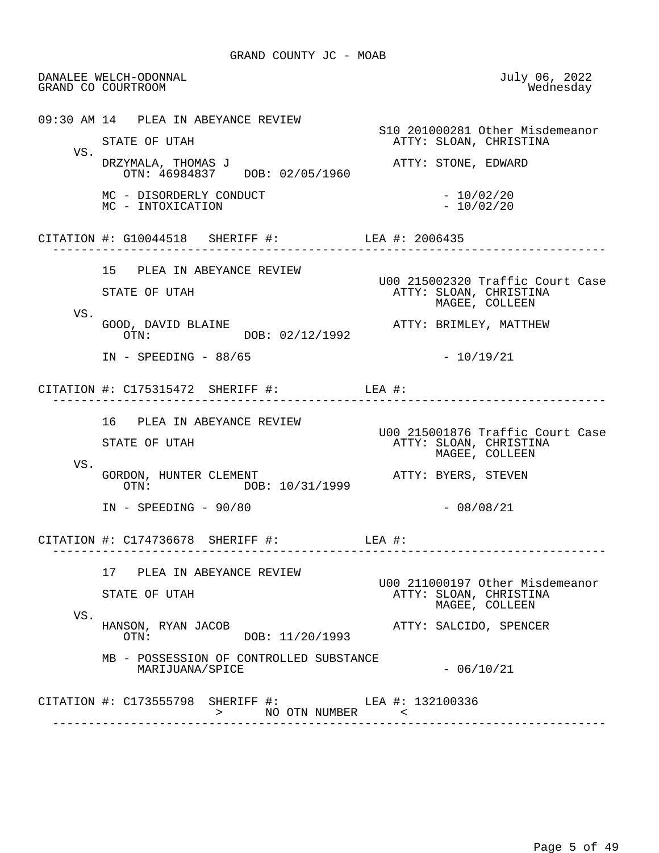DANALEE WELCH-ODONNAL July 06, 2022 GRAND CO COURTROOM 09:30 AM 14 PLEA IN ABEYANCE REVIEW S10 201000281 Other Misdemeanor ATTY: SLOAN, CHRISTINA VS. DRZYMALA, THOMAS J ATTY: STONE, EDWARD OTN: 46984837 DOB: 02/05/1960 MC - DISORDERLY CONDUCT - 10/02/20<br>MC - INTOXICATION - 10/02/20 MC - INTOXICATION CITATION #: G10044518 SHERIFF #: LEA #: 2006435 ------------------------------------------------------------------------------ 15 PLEA IN ABEYANCE REVIEW U00 215002320 Traffic Court Case ATTY: SLOAN, CHRISTINA MAGEE, COLLEEN VS.<br>GOOD, DAVID BLAINE GOOD, DAVID BLAINE ATTY: BRIMLEY, MATTHEW DOB: 02/12/1992 IN - SPEEDING - 88/65 - 20/19/21 CITATION #: C175315472 SHERIFF #: LEA #: ------------------------------------------------------------------------------ 16 PLEA IN ABEYANCE REVIEW U00 215001876 Traffic Court Case ATTY: SLOAN, CHRISTINA MAGEE, COLLEEN VS. GORDON, HUNTER CLEMENT  $OIB: 10/31/1999$  ATTY: BYERS, STEVEN DOB: 10/31/1999 IN - SPEEDING - 90/80 - 08/08/21 CITATION #: C174736678 SHERIFF #: LEA #: ------------------------------------------------------------------------------ 17 PLEA IN ABEYANCE REVIEW U00 211000197 Other Misdemeanor ATTY: SLOAN, CHRISTINA MAGEE, COLLEEN VS.<br>HANSON, RYAN JACOB HANSON, RYAN JACOB ATTY: SALCIDO, SPENCER DOB: 11/20/1993 MB - POSSESSION OF CONTROLLED SUBSTANCE  $\texttt{MARIJUANA}/\texttt{SPICE}$   $-06/10/21$ CITATION #: C173555798 SHERIFF #: LEA #: 132100336 > NO OTN NUMBER < ------------------------------------------------------------------------------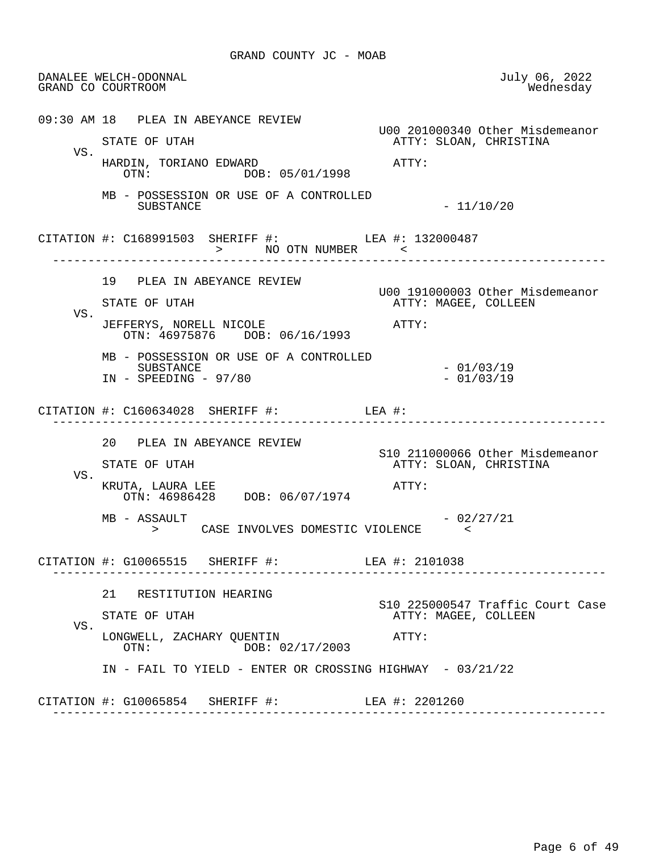DANALEE WELCH-ODONNAL July 06, 2022 GRAND CO COURTROOM 09:30 AM 18 PLEA IN ABEYANCE REVIEW U00 201000340 Other Misdemeanor ATTY: SLOAN, CHRISTINA VS. HARDIN, TORIANO EDWARD<br>OTN: DOB: 05/01/1998<br>OTN: DOB: 05/01/1998 DOB: 05/01/1998 MB - POSSESSION OR USE OF A CONTROLLED  $-11/10/20$ CITATION #: C168991503 SHERIFF #: LEA #: 132000487 > NO OTN NUMBER ------------------------------------------------------------------------------ 19 PLEA IN ABEYANCE REVIEW U00 191000003 Other Misdemeanor ATTY: MAGEE, COLLEEN VS. JEFFERYS, NORELL NICOLE **ATTY:**  OTN: 46975876 DOB: 06/16/1993 MB - POSSESSION OR USE OF A CONTROLLED SUBSTANCE - 01/03/19  $IN - SPEEDING - 97/80$  CITATION #: C160634028 SHERIFF #: LEA #: ------------------------------------------------------------------------------ 20 PLEA IN ABEYANCE REVIEW S10 211000066 Other Misdemeanor ATTY: SLOAN, CHRISTINA VS. KRUTA, LAURA LEE ATTY: OTN: 46986428 DOB: 06/07/1974  $MB - ASSAULT$  - 02/27/21 > CASE INVOLVES DOMESTIC VIOLENCE < CITATION #: G10065515 SHERIFF #: LEA #: 2101038 ------------------------------------------------------------------------------ 21 RESTITUTION HEARING S10 225000547 Traffic Court Case<br>STATE OF UTAH THE STATE ATTY: MAGEE, COLLEEN ATTY: MAGEE, COLLEEN VS. LONGWELL, ZACHARY QUENTIN ATTY: OTN: DOB: 02/17/2003 IN - FAIL TO YIELD - ENTER OR CROSSING HIGHWAY - 03/21/22 CITATION #: G10065854 SHERIFF #: LEA #: 2201260 ------------------------------------------------------------------------------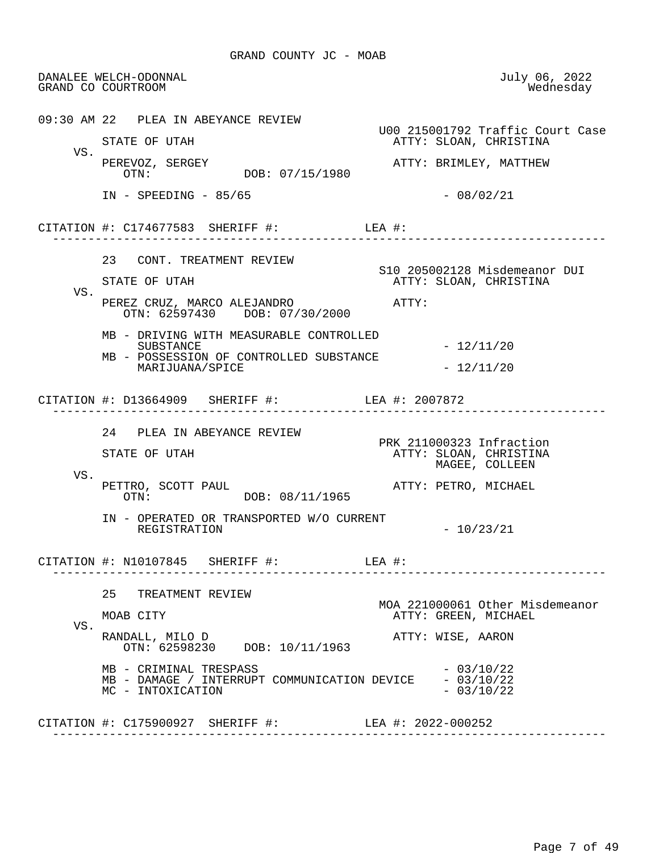DANALEE WELCH-ODONNAL July 06, 2022 GRAND CO COURTROOM 09:30 AM 22 PLEA IN ABEYANCE REVIEW U00 215001792 Traffic Court Case ATTY: SLOAN, CHRISTINA VS. PEREVOZ, SERGEY ATTY: BRIMLEY, MATTHEW OTN: DOB: 07/15/1980 IN - SPEEDING - 85/65 - 08/02/21 CITATION #: C174677583 SHERIFF #: LEA #: ------------------------------------------------------------------------------ 23 CONT. TREATMENT REVIEW S10 205002128 Misdemeanor DUI ATTY: SLOAN, CHRISTINA VS. PEREZ CRUZ, MARCO ALEJANDRO ATTY: OTN: 62597430 DOB: 07/30/2000 MB - DRIVING WITH MEASURABLE CONTROLLED SUBSTANCE - 12/11/20 MB - POSSESSION OF CONTROLLED SUBSTANCE  $\texttt{MARIJUANA}/\texttt{SPICE}$  - 12/11/20 CITATION #: D13664909 SHERIFF #: LEA #: 2007872 ------------------------------------------------------------------------------ 24 PLEA IN ABEYANCE REVIEW PRK 211000323 Infraction<br>PRK 211000323 Infraction<br>ATTY: SLOAN, CHRISTINA STATE OF UTAH ATTY: SLOAN, CHRISTINA MAGEE, COLLEEN VS. PETTRO, SCOTT PAUL <br>
OTN: DOB: 08/11/1965<br>
OTN: DOB: 08/11/1965 IN - OPERATED OR TRANSPORTED W/O CURRENT REGISTRATION  $-10/23/21$  CITATION #: N10107845 SHERIFF #: LEA #: ------------------------------------------------------------------------------ 25 TREATMENT REVIEW MOA 221000061 Other Misdemeanor MOAB CITY **ATTY: GREEN, MICHAEL**  VS. RANDALL, MILO D ATTY: WISE, AARON OTN: 62598230 DOB: 10/11/1963 MB - CRIMINAL TRESPASS<br>MB - DAMAGE / INTERRUPT COMMUNICATION DEVICE - 03/10/22 MB - DAMAGE / INTERRUPT COMMUNICATION DEVICE - 03/10/22<br>MC - INTOXICATION - 03/10/22 MC - INTOXICATION CITATION #: C175900927 SHERIFF #: LEA #: 2022-000252 ------------------------------------------------------------------------------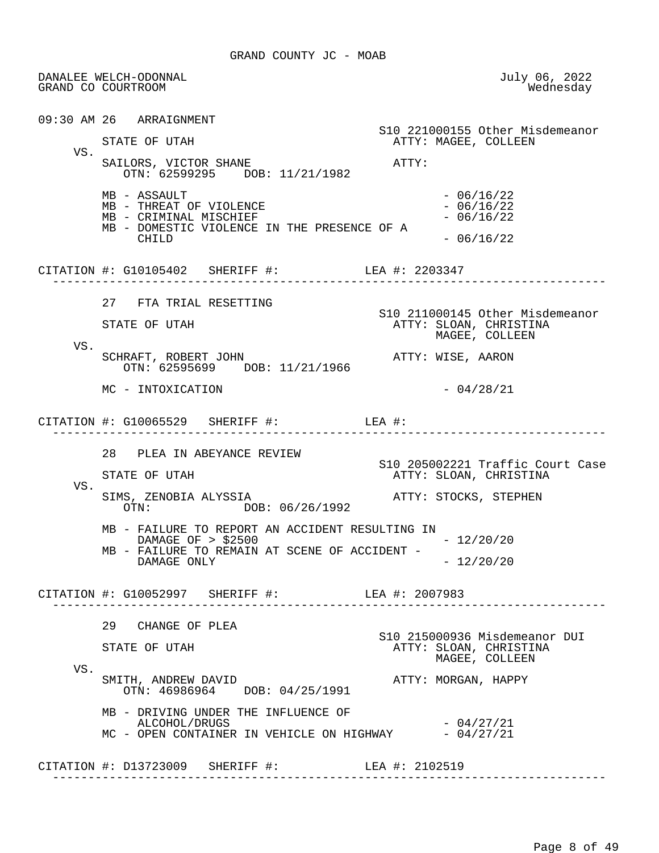DANALEE WELCH-ODONNAL July 06, 2022 GRAND CO COURTROOM 09:30 AM 26 ARRAIGNMENT S10 221000155 Other Misdemeanor ATTY: MAGEE, COLLEEN VS. SAILORS, VICTOR SHANE ATTY: OTN: 62599295 DOB: 11/21/1982  $MB$  - ASSAULT<br>  $MB$  - THREAT OF VIOLENCE<br>  $MB$  - THREAT OF VIOLENCE  $MB$  - THREAT OF VIOLENCE  $- 06/16/22$ <br> $MB$  - CRIMINAL MISCHIEF  $- 06/16/22$ MB - CRIMINAL MISCHIEF MB - DOMESTIC VIOLENCE IN THE PRESENCE OF A CHILD  $-06/16/22$  CITATION #: G10105402 SHERIFF #: LEA #: 2203347 ------------------------------------------------------------------------------ 27 FTA TRIAL RESETTING S10 211000145 Other Misdemeanor STATE OF UTAH ATTY: SLOAN, CHRISTINA MAGEE, COLLEEN VS. SCHRAFT, ROBERT JOHN **ATTY: WISE, AARON**  OTN: 62595699 DOB: 11/21/1966  $MC - INTOXICATION$  - 04/28/21 CITATION #: G10065529 SHERIFF #: LEA #: ------------------------------------------------------------------------------ 28 PLEA IN ABEYANCE REVIEW S10 205002221 Traffic Court Case ATTY: SLOAN, CHRISTINA VS.<br>SIMS, ZENOBIA ALYSSIA SIMS, ZENOBIA ALYSSIA ATTY: STOCKS, STEPHEN DOB: 06/26/1992 MB - FAILURE TO REPORT AN ACCIDENT RESULTING IN DAMAGE OF > \$2500 - 12/20/20 MB - FAILURE TO REMAIN AT SCENE OF ACCIDENT -DAMAGE ONLY - 12/20/20 CITATION #: G10052997 SHERIFF #: LEA #: 2007983 ------------------------------------------------------------------------------ 29 CHANGE OF PLEA S10 215000936 Misdemeanor DUI ATTY: SLOAN, CHRISTINA MAGEE, COLLEEN VS.<br>SMITH, ANDREW DAVID ATTY: MORGAN, HAPPY OTN: 46986964 DOB: 04/25/1991 MB - DRIVING UNDER THE INFLUENCE OF  $ALCOHOL/DRUGS$   $-04/27/21$  $MC$  - OPEN CONTAINER IN VEHICLE ON HIGHWAY  $-04/27/21$  CITATION #: D13723009 SHERIFF #: LEA #: 2102519 ------------------------------------------------------------------------------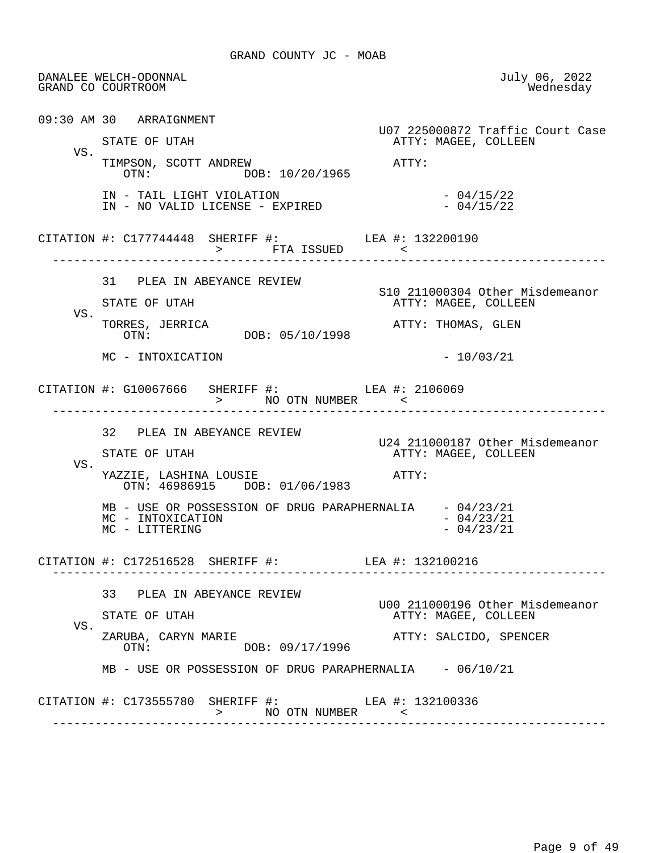DANALEE WELCH-ODONNAL July 06, 2022 GRAND CO COURTROOM 09:30 AM 30 ARRAIGNMENT U07 225000872 Traffic Court Case ATTY: MAGEE, COLLEEN VS. TIMPSON, SCOTT ANDREW <br>OTN: 00R: 10/20/1965 DOB: 10/20/1965 IN - TAIL LIGHT VIOLATION<br>IN - NO VALID LICENSE - EXPIRED - 04/15/22 IN - NO VALID LICENSE - EXPIRED CITATION #: C177744448 SHERIFF #: LEA #: 132200190 > FTA ISSUED < ------------------------------------------------------------------------------ 31 PLEA IN ABEYANCE REVIEW S10 211000304 Other Misdemeanor ATTY: MAGEE, COLLEEN VS. TORRES, JERRICA<br>
OTN: DOB: 05/10/1998<br>
ATTY: THOMAS, GLEN DOB: 05/10/1998  $MC - INTOXICATION$  - 10/03/21 CITATION #: G10067666 SHERIFF #: LEA #: 2106069 > NO OTN NUMBER < ------------------------------------------------------------------------------ 32 PLEA IN ABEYANCE REVIEW U24 211000187 Other Misdemeanor ATTY: MAGEE, COLLEEN VS. YAZZIE, LASHINA LOUSIE ATTY: OTN: 46986915 DOB: 01/06/1983 MB - USE OR POSSESSION OF DRUG PARAPHERNALIA - 04/23/21  $MC - INTOXICATION$ <br> $MC - LITTERING$  - 04/23/21 MC - LITTERING CITATION #: C172516528 SHERIFF #: LEA #: 132100216 ------------------------------------------------------------------------------ 33 PLEA IN ABEYANCE REVIEW U00 211000196 Other Misdemeanor ATTY: MAGEE, COLLEEN VS.<br>ZARUBA, CARYN MARIE ATTY: SALCIDO, SPENCER OTN: DOB: 09/17/1996 MB - USE OR POSSESSION OF DRUG PARAPHERNALIA - 06/10/21 CITATION #: C173555780 SHERIFF #: LEA #: 132100336 > NO OTN NUMBER < ------------------------------------------------------------------------------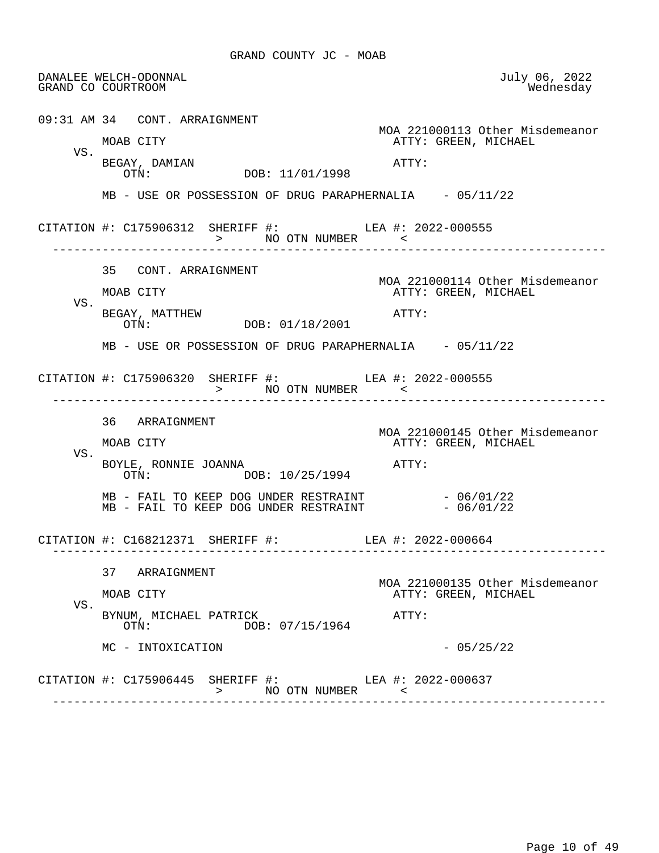DANALEE WELCH-ODONNAL July 06, 2022 GRAND CO COURTROOM 09:31 AM 34 CONT. ARRAIGNMENT MOA 221000113 Other Misdemeanor ATTY: GREEN, MICHAEL VS. BEGAY, DAMIAN ATTY: DOB: 11/01/1998 MB - USE OR POSSESSION OF DRUG PARAPHERNALIA - 05/11/22 CITATION #: C175906312 SHERIFF #: LEA #: 2022-000555 > NO OTN NUMBER ------------------------------------------------------------------------------ 35 CONT. ARRAIGNMENT MOA 221000114 Other Misdemeanor<br>MOAB CITY MOAB CITY ATTY: GREEN, MICHAEL ATTY: GREEN, MICHAEL VS. BEGAY, MATTHEW <br>
OTN: DOB: 01/18/2001 <br>
ATTY: DOB: 01/18/2001 MB - USE OR POSSESSION OF DRUG PARAPHERNALIA - 05/11/22 CITATION #: C175906320 SHERIFF #: LEA #: 2022-000555 > NO OTN NUMBER < ------------------------------------------------------------------------------ 36 ARRAIGNMENT MOA 221000145 Other Misdemeanor<br>MOAB CITY MOAB CITY ATTY: GREEN, MICHAEL ATTY: GREEN, MICHAEL VS. BOYLE, RONNIE JOANNA (ATTY:<br>OTN: DOB: 10/25/1994 DOB: 10/25/1994 MB - FAIL TO KEEP DOG UNDER RESTRAINT - 06/01/22 MB - FAIL TO KEEP DOG UNDER RESTRAINT - 06/01/22 CITATION #: C168212371 SHERIFF #: LEA #: 2022-000664 ------------------------------------------------------------------------------ 37 ARRAIGNMENT MOA 221000135 Other Misdemeanor ATTY: GREEN, MICHAEL VS. BYNUM, MICHAEL PATRICK<br>OTN: DOB: 07/15/1964<br>
DOB: 07/15/1964 DOB: 07/15/1964  $MC - INTOXICATION$  - 05/25/22 CITATION #: C175906445 SHERIFF #: LEA #: 2022-000637 > NO OTN NUMBER < ------------------------------------------------------------------------------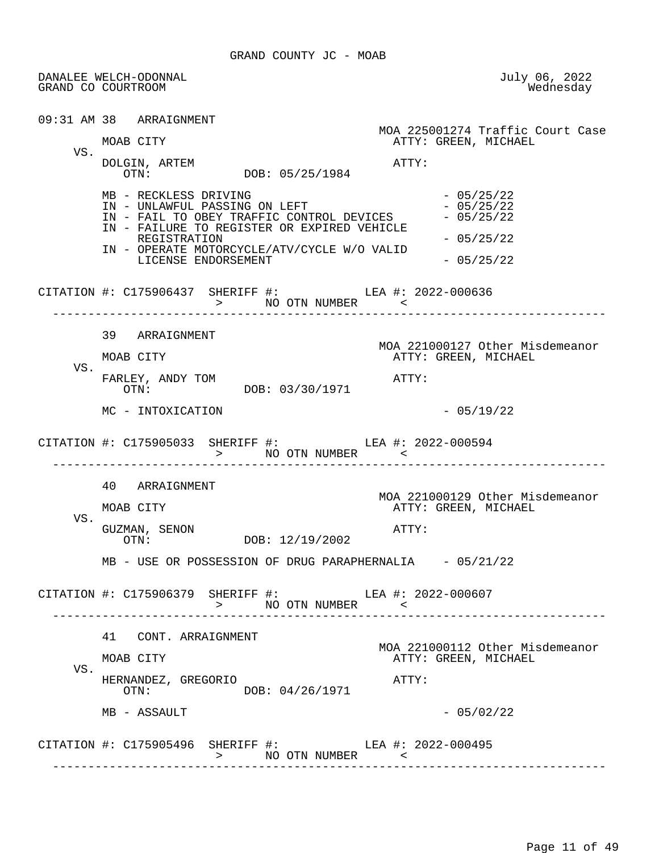GRAND COUNTY JC - MOAB

 DANALEE WELCH-ODONNAL July 06, 2022 GRAND CO COURTROOM 09:31 AM 38 ARRAIGNMENT MOA 225001274 Traffic Court Case ATTY: GREEN, MICHAEL VS. DOLGIN, ARTEM ATTY: DOB: 05/25/1984 MB - RECKLESS DRIVING - 05/25/22 IN - UNLAWFUL PASSING ON LEFT - 05/25/22<br>TN - FAIL TO OBEY TRAFFIC CONTROL DEVICES - 05/25/22 IN - FAIL TO OBEY TRAFFIC CONTROL DEVICES IN - FAILURE TO REGISTER OR EXPIRED VEHICLE REGISTRATION  $-05/25/22$  IN - OPERATE MOTORCYCLE/ATV/CYCLE W/O VALID LICENSE ENDORSEMENT - 05/25/22 CITATION #: C175906437 SHERIFF #: LEA #: 2022-000636 > NO OTN NUMBER < ------------------------------------------------------------------------------ 39 ARRAIGNMENT MOA 221000127 Other Misdemeanor MOAB CITY **ATTY: GREEN, MICHAEL**  VS. FARLEY, ANDY TOM  $OTN:$  DOB: 03/30/1971 ATTY: DOB: 03/30/1971  $MC - INTOXICATION$  - 05/19/22 CITATION #: C175905033 SHERIFF #: LEA #: 2022-000594 > NO OTN NUMBER < ------------------------------------------------------------------------------ 40 ARRAIGNMENT MOA 221000129 Other Misdemeanor<br>MOAB CITY MOAB CITY ATTY: GREEN, MICHAEL ATTY: GREEN, MICHAEL VS. GUZMAN, SENON  $OTN:$  DOB:  $12/19/2002$  ATTY: DOB: 12/19/2002 MB - USE OR POSSESSION OF DRUG PARAPHERNALIA - 05/21/22 CITATION #: C175906379 SHERIFF #: LEA #: 2022-000607 > NO OTN NUMBER < ------------------------------------------------------------------------------ 41 CONT. ARRAIGNMENT MOA 221000112 Other Misdemeanor ATTY: GREEN, MICHAEL VS. HERNANDEZ, GREGORIO **ATTY:**  OTN: DOB: 04/26/1971  $MB - ASSAULT$  - 05/02/22 CITATION #: C175905496 SHERIFF #: LEA #: 2022-000495 > NO OTN NUMBER < ------------------------------------------------------------------------------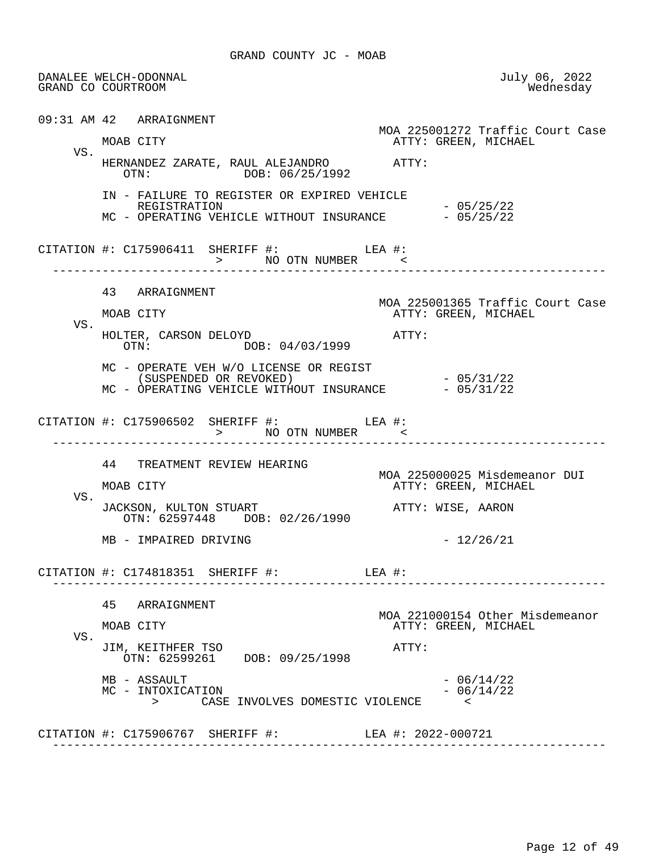|     | DANALEE WELCH-ODONNAL<br>GRAND CO COURTROOM                                                                              | July 06, 2022<br>Wednesday                               |
|-----|--------------------------------------------------------------------------------------------------------------------------|----------------------------------------------------------|
|     | 09:31 AM 42 ARRAIGNMENT                                                                                                  |                                                          |
| VS. | MOAB CITY                                                                                                                | MOA 225001272 Traffic Court Case<br>ATTY: GREEN, MICHAEL |
|     | HERNANDEZ ZARATE, RAUL ALEJANDRO ATTY:<br>OTN: DOB: 06/25/1992                                                           |                                                          |
|     | IN - FAILURE TO REGISTER OR EXPIRED VEHICLE<br>REGISTRATION<br>MC - OPERATING VEHICLE WITHOUT INSURANCE - 05/25/22       | $-05/25/22$                                              |
|     | CITATION #: $C175906411$ SHERIFF #: LEA #:<br>>          NO  OTN  NUMBER            <                                    |                                                          |
|     | 43 ARRAIGNMENT                                                                                                           | MOA 225001365 Traffic Court Case                         |
| VS. | MOAB CITY                                                                                                                | ATTY: GREEN, MICHAEL                                     |
|     | HOLTER, CARSON DELOYD<br>ATTY:<br>OTN: DOB: 04/03/1999                                                                   |                                                          |
|     | MC - OPERATE VEH W/O LICENSE OR REGIST<br>(SUSPENDED OR REVOKED)<br>MC - OPERATING VEHICLE WITHOUT INSURANCE $-05/31/22$ | $-05/31/22$                                              |
|     | CITATION #: $C175906502$ SHERIFF #: LEA #:<br>> NO OTN NUMBER <                                                          |                                                          |
|     | 44 TREATMENT REVIEW HEARING                                                                                              | MOA 225000025 Misdemeanor DUI                            |
| VS. | MOAB CITY                                                                                                                | ATTY: GREEN, MICHAEL                                     |
|     | JACKSON, KULTON STUART<br>OTN: 62597448 DOB: 02/26/1990                                                                  | ATTY: WISE, AARON                                        |
|     | MB - IMPAIRED DRIVING                                                                                                    | $-12/26/21$                                              |
|     | CITATION $\#$ : C174818351 SHERIFF $\#$ : LEA $\#$ :                                                                     |                                                          |
|     | 45 ARRAIGNMENT                                                                                                           |                                                          |
| VS. | MOAB CITY                                                                                                                | MOA 221000154 Other Misdemeanor<br>ATTY: GREEN, MICHAEL  |
|     | JIM, KEITHFER TSO<br>ATTY:<br>OTN: 62599261 DOB: 09/25/1998                                                              |                                                          |
|     | MB - ASSAULT<br>MC - INTOXICATION<br>$>$ and $\sim$<br>CASE INVOLVES DOMESTIC VIOLENCE                                   | $-06/14/22$<br>$-06/14/22$<br>$\prec$                    |
|     | CITATION #: C175906767 SHERIFF #: LEA #: 2022-000721                                                                     |                                                          |
|     |                                                                                                                          |                                                          |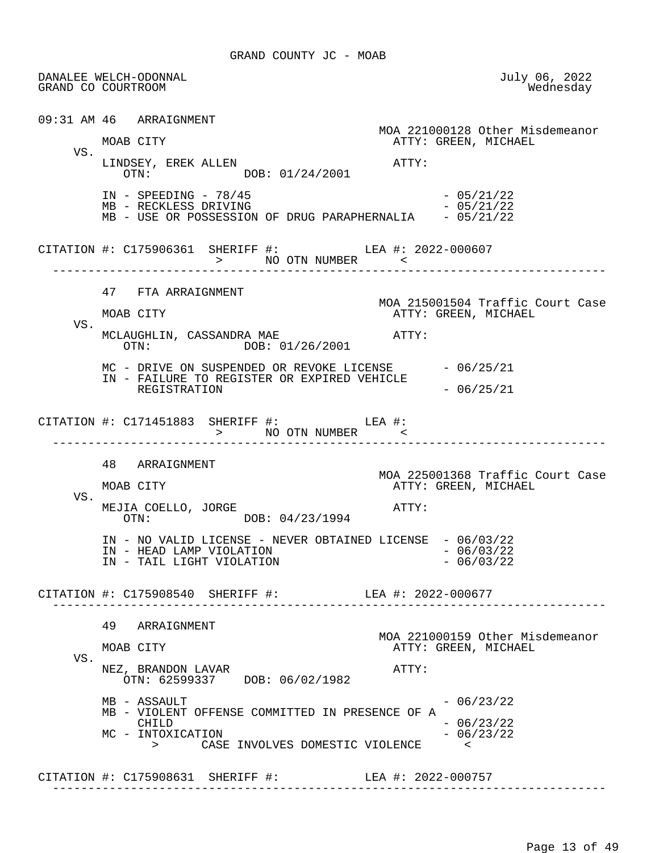DANALEE WELCH-ODONNAL July 06, 2022 GRAND CO COURTROOM 09:31 AM 46 ARRAIGNMENT MOA 221000128 Other Misdemeanor ATTY: GREEN, MICHAEL VS. LINDSEY, EREK ALLEN<br>
OTN: DOB: 01/24/2001 DOB: 01/24/2001 IN - SPEEDING - 78/45<br>MB - RECKLESS DRIVING - 05/21/22 MB - RECKLESS DRIVING MB - USE OR POSSESSION OF DRUG PARAPHERNALIA - 05/21/22 CITATION #: C175906361 SHERIFF #: LEA #: 2022-000607 > NO OTN NUMBER < ------------------------------------------------------------------------------ 47 FTA ARRAIGNMENT MOA 215001504 Traffic Court Case ATTY: GREEN, MICHAEL VS. MCLAUGHLIN, CASSANDRA MAE  $\overline{OTN}:$   $\overline{O/N}:$   $\overline{O1}/26/2001$  ATTY: DOB: 01/26/2001 MC - DRIVE ON SUSPENDED OR REVOKE LICENSE - 06/25/21 IN - FAILURE TO REGISTER OR EXPIRED VEHICLE REGISTRATION  $-06/25/21$  CITATION #: C171451883 SHERIFF #: LEA #: > NO OTN NUMBER ------------------------------------------------------------------------------ 48 ARRAIGNMENT MOA 225001368 Traffic Court Case<br>MOAB CITY COURT COURT ATTY: GREEN, MICHAEL ATTY: GREEN, MICHAEL VS. MEJIA COELLO, JORGE ATTY: OTN: DOB: 04/23/1994 IN - NO VALID LICENSE - NEVER OBTAINED LICENSE - 06/03/22<br>IN - HEAD LAMP VIOLATION - 06/03/22 IN - HEAD LAMP VIOLATION  $-$  06/03/22<br>IN - TAIL LIGHT VIOLATION  $-$  06/03/22 IN - TAIL LIGHT VIOLATION CITATION #: C175908540 SHERIFF #: LEA #: 2022-000677 ------------------------------------------------------------------------------ 49 ARRAIGNMENT MOA 221000159 Other Misdemeanor<br>MOAB CITY GREEN, MICHAEL ATTY: GREEN, MICHAEL VS. NEZ, BRANDON LAVAR ATTY: OTN: 62599337 DOB: 06/02/1982  $MB - ASSAULT$  - 06/23/22 MB - VIOLENT OFFENSE COMMITTED IN PRESENCE OF A<br>CHILD  $-06/23/22$ <br> $-06/23/22$ MC - INTOXICATION > CASE INVOLVES DOMESTIC VIOLENCE < CITATION #: C175908631 SHERIFF #: LEA #: 2022-000757 ------------------------------------------------------------------------------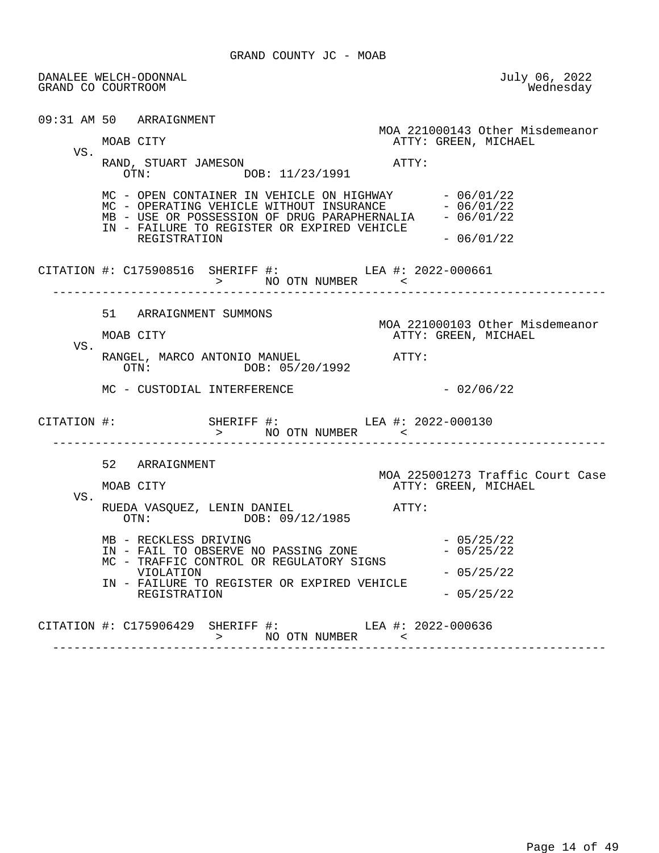|     | DANALEE WELCH-ODONNAL<br>GRAND CO COURTROOM                                                                                                                                                                                              | July 06, 2022<br>Wednesday                                                    |
|-----|------------------------------------------------------------------------------------------------------------------------------------------------------------------------------------------------------------------------------------------|-------------------------------------------------------------------------------|
| VS. | 09:31 AM 50 ARRAIGNMENT<br>MOAB CITY<br>RAND, STUART JAMESON<br>OTN: DOB: 11/23/1991                                                                                                                                                     | MOA 221000143 Other Misdemeanor<br>ATTY: GREEN, MICHAEL<br>ATTY:              |
|     | MC - OPEN CONTAINER IN VEHICLE ON HIGHWAY $-06/01/22$<br>MC - OPERATING VEHICLE WITHOUT INSURANCE $-06/01/22$<br>MB - USE OR POSSESSION OF DRUG PARAPHERNALIA $-06/01/22$<br>IN - FAILURE TO REGISTER OR EXPIRED VEHICLE<br>REGISTRATION | $-06/01/22$                                                                   |
|     | CITATION #: C175908516 SHERIFF #: LEA #: 2022-000661<br>> NO OTN NUMBER <                                                                                                                                                                |                                                                               |
| VS. | 51 ARRAIGNMENT SUMMONS<br>MOAB CITY<br>RANGEL, MARCO ANTONIO MANUEL ATTY:<br>OTN: DOB: 05/20/1992                                                                                                                                        | MOA 221000103 Other Misdemeanor<br>ATTY: GREEN, MICHAEL                       |
|     | MC - CUSTODIAL INTERFERENCE<br>CITATION #: SHERIFF #: LEA #: 2022-000130                                                                                                                                                                 | $-02/06/22$                                                                   |
| VS. | 52 ARRAIGNMENT<br>MOAB CITY<br>RUEDA VASQUEZ, LENIN DANIEL<br>OTN: DOB: 09/12/1985                                                                                                                                                       | MOA 225001273 Traffic Court Case<br>ATTY: GREEN, MICHAEL<br>$\mathtt{ATTY}$ : |
|     | MB - RECKLESS DRIVING<br>IN - FAIL TO OBSERVE NO PASSING ZONE<br>MC - TRAFFIC CONTROL OR REGULATORY SIGNS<br>VIOLATION<br>IN - FAILURE TO REGISTER OR EXPIRED VEHICLE<br>REGISTRATION                                                    | $-05/25/22$<br>$-05/25/22$<br>$-05/25/22$<br>$-05/25/22$                      |
|     | CITATION #: C175906429 SHERIFF #: LEA #: 2022-000636<br>>            NO  OTN  NUMBER                                                                                                                                                     | $\sim$ $\sim$                                                                 |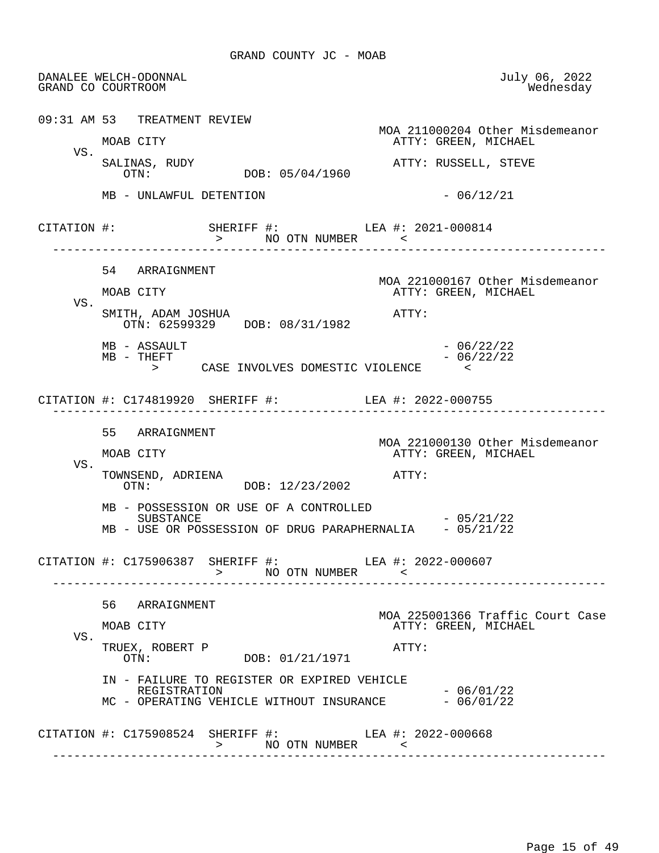DANALEE WELCH-ODONNAL July 06, 2022 GRAND CO COURTROOM 09:31 AM 53 TREATMENT REVIEW MOA 211000204 Other Misdemeanor ATTY: GREEN, MICHAEL VS. SALINAS, RUDY ATTY: RUSSELL, STEVE OTN: DOB: 05/04/1960  $MB - UNLAWFUL DETERNITION$  - 06/12/21 CITATION #: SHERIFF #: LEA #: 2021-000814 > NO OTN NUMBER < ------------------------------------------------------------------------------ 54 ARRAIGNMENT MOA 221000167 Other Misdemeanor<br>MOAB CITY GREEN, MICHAEL ATTY: GREEN, MICHAEL VS. SMITH, ADAM JOSHUA ATTY: OTN: 62599329 DOB: 08/31/1982  $MB - ASSAULT$  - 06/22/22  $MB - THEFT$  - 06/22/22 > CASE INVOLVES DOMESTIC VIOLENCE < CITATION #: C174819920 SHERIFF #: LEA #: 2022-000755 ------------------------------------------------------------------------------ 55 ARRAIGNMENT MOA 221000130 Other Misdemeanor<br>MOAB CITY MOAB CITY ATTY: GREEN, MICHAEL ATTY: GREEN, MICHAEL VS. TOWNSEND, ADRIENA  $OTN:$   $OTN:$   $DOB: 12/23/2002$   $ATTY:$ DOB: 12/23/2002 MB - POSSESSION OR USE OF A CONTROLLED  $SUBSTRACT$   $- 05/21/22$ MB - USE OR POSSESSION OF DRUG PARAPHERNALIA - 05/21/22 CITATION #: C175906387 SHERIFF #: LEA #: 2022-000607 > NO OTN NUMBER < ------------------------------------------------------------------------------ 56 ARRAIGNMENT MOA 225001366 Traffic Court Case ATTY: GREEN, MICHAEL VS. TRUEX, ROBERT P ATTY: OTN: DOB: 01/21/1971 IN - FAILURE TO REGISTER OR EXPIRED VEHICLE REGISTRATION - 06/01/22 MC - OPERATING VEHICLE WITHOUT INSURANCE CITATION #: C175908524 SHERIFF #: LEA #: 2022-000668 > NO OTN NUMBER < ------------------------------------------------------------------------------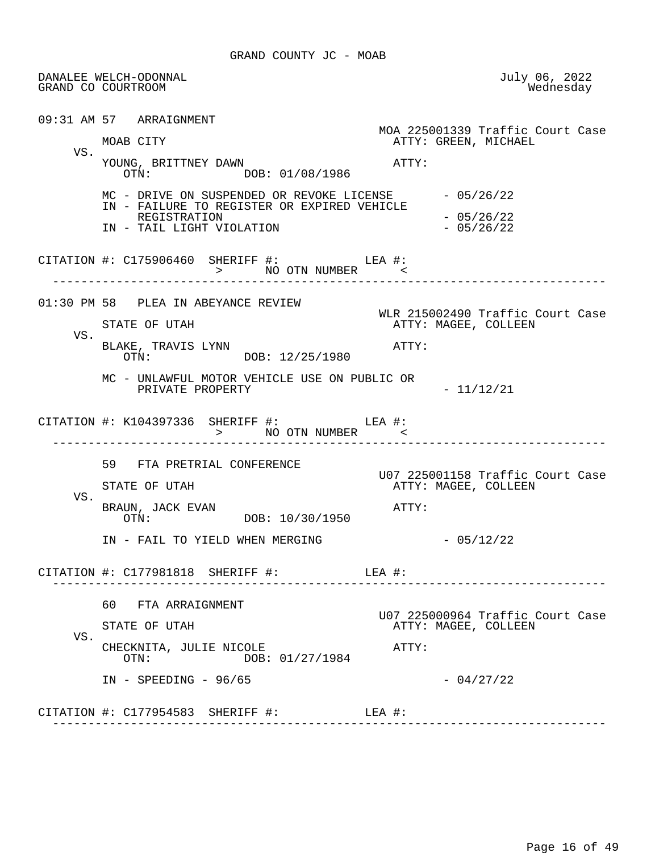|     | DANALEE WELCH-ODONNAL<br>GRAND CO COURTROOM                                                          | July 06, 2022<br>Wednesday       |
|-----|------------------------------------------------------------------------------------------------------|----------------------------------|
|     | 09:31 AM 57 ARRAIGNMENT                                                                              | MOA 225001339 Traffic Court Case |
|     | MOAB CITY                                                                                            | ATTY: GREEN, MICHAEL             |
| VS. | YOUNG, BRITTNEY DAWN<br>OTN: DOB: 01/08/1986                                                         | $\mathtt{ATTY}$ :                |
|     | MC - DRIVE ON SUSPENDED OR REVOKE LICENSE $-05/26/22$<br>IN - FAILURE TO REGISTER OR EXPIRED VEHICLE |                                  |
|     | REGISTRATION<br>IN - TAIL LIGHT VIOLATION                                                            | $-05/26/22$<br>$-05/26/22$       |
|     | CITATION #: $C175906460$ SHERIFF #: LEA #:<br>> NO OTN NUMBER <                                      |                                  |
|     | 01:30 PM 58 PLEA IN ABEYANCE REVIEW                                                                  | WLR 215002490 Traffic Court Case |
| VS. | STATE OF UTAH                                                                                        | ATTY: MAGEE, COLLEEN             |
|     | BLAKE, TRAVIS LYNN<br>OTN: DOB: 12/25/1980                                                           | ATTY:                            |
|     | MC - UNLAWFUL MOTOR VEHICLE USE ON PUBLIC OR<br>PRIVATE PROPERTY                                     | $-11/12/21$                      |
|     | CITATION #: K104397336 SHERIFF #: LEA #:<br>> NO OTN NUMBER <                                        |                                  |
|     | 59 FTA PRETRIAL CONFERENCE                                                                           | U07 225001158 Traffic Court Case |
|     | STATE OF UTAH                                                                                        | ATTY: MAGEE, COLLEEN             |
| VS. | BRAUN, JACK EVAN<br>OTN: DOB: 10/30/1950                                                             | ATTY:                            |
|     | IN - FAIL TO YIELD WHEN MERGING                                                                      | $-05/12/22$                      |
|     | CITATION #: $C177981818$ SHERIFF #: LEA #:                                                           |                                  |
|     | 60 FTA ARRAIGNMENT                                                                                   | U07 225000964 Traffic Court Case |
|     | STATE OF UTAH                                                                                        | ATTY: MAGEE, COLLEEN             |
| VS. | CHECKNITA, JULIE NICOLE<br>DOB: 01/27/1984<br>OTN:                                                   | ATTY:                            |
|     | $IN - SPEEDING - 96/65$                                                                              | $-04/27/22$                      |
|     | CITATION #: $C177954583$ SHERIFF #: LEA #:                                                           |                                  |
|     |                                                                                                      |                                  |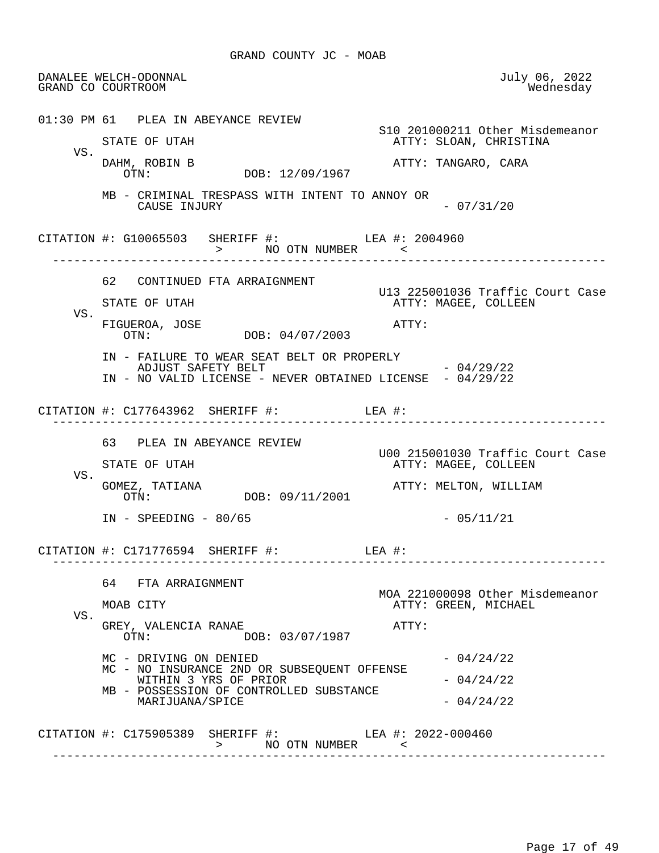DANALEE WELCH-ODONNAL July 06, 2022 GRAND CO COURTROOM 01:30 PM 61 PLEA IN ABEYANCE REVIEW S10 201000211 Other Misdemeanor ATTY: SLOAN, CHRISTINA VS.<br>DAHM, ROBIN B DAHM, ROBIN B ATTY: TANGARO, CARA DOB: 12/09/1967 MB - CRIMINAL TRESPASS WITH INTENT TO ANNOY OR CAUSE INJURY - 07/31/20 CITATION #: G10065503 SHERIFF #: LEA #: 2004960 > NO OTN NUMBER ------------------------------------------------------------------------------ 62 CONTINUED FTA ARRAIGNMENT U13 225001036 Traffic Court Case ATTY: MAGEE, COLLEEN VS. FIGUEROA, JOSE ATTY: DOB: 04/07/2003 IN - FAILURE TO WEAR SEAT BELT OR PROPERLY ADJUST SAFETY BELT  $- 04/29/22$  IN - NO VALID LICENSE - NEVER OBTAINED LICENSE - 04/29/22 CITATION #: C177643962 SHERIFF #: LEA #: ------------------------------------------------------------------------------ 63 PLEA IN ABEYANCE REVIEW U00 215001030 Traffic Court Case ATTY: MAGEE, COLLEEN VS.<br>GOMEZ, TATIANA GOMEZ, TATIANA ATTY: MELTON, WILLIAM DOB: 09/11/2001 IN - SPEEDING - 80/65 - 200 - 2011/21 CITATION #: C171776594 SHERIFF #: LEA #: ------------------------------------------------------------------------------ 64 FTA ARRAIGNMENT MOA 221000098 Other Misdemeanor<br>MOAB CITY MOAB CITY ATTY: GREEN, MICHAEL ATTY: GREEN, MICHAEL VS. GREY, VALENCIA RANAE <br>OTN: DOB: 03/07/1987 DOB: 03/07/1987  $MC - DRIVING ON DENIED - 04/24/22$  MC - NO INSURANCE 2ND OR SUBSEQUENT OFFENSE WITHIN 3 YRS OF PRIOR  $-04/24/22$  MB - POSSESSION OF CONTROLLED SUBSTANCE  $MARIJUANA/SPICE$   $-04/24/22$  CITATION #: C175905389 SHERIFF #: LEA #: 2022-000460 > NO OTN NUMBER < ------------------------------------------------------------------------------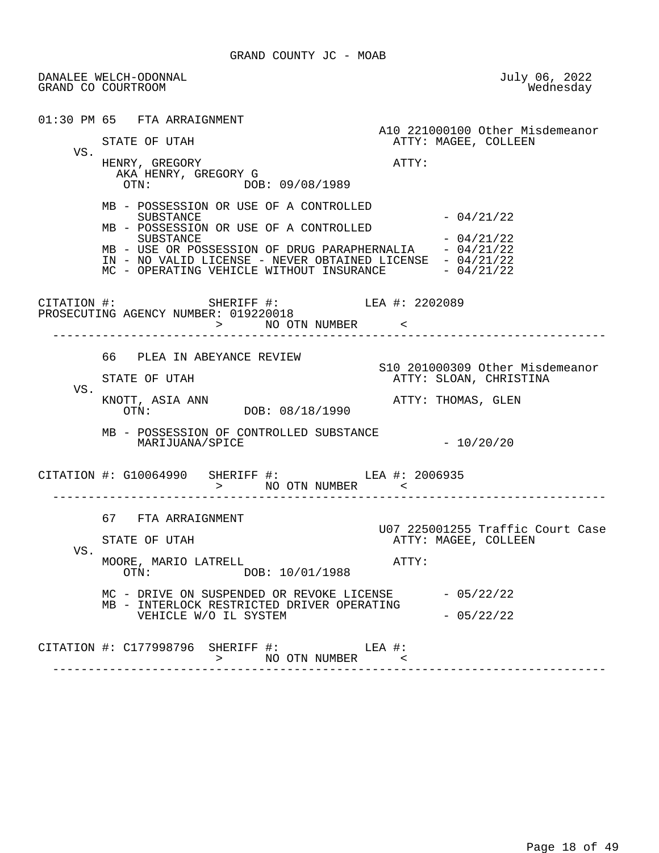DANALEE WELCH-ODONNAL July 06, 2022 GRAND CO COURTROOM 01:30 PM 65 FTA ARRAIGNMENT A10 221000100 Other Misdemeanor<br>ATTY: MAGEE, COLLEEN ATTY: MAGEE, COLLEEN VS. HENRY, GREGORY **ATTY:**  AKA HENRY, GREGORY G OTN: DOB: 09/08/1989 MB - POSSESSION OR USE OF A CONTROLLED  $-04/21/22$  MB - POSSESSION OR USE OF A CONTROLLED  $SUBSTRACT$   $-04/21/22$ MB - USE OR POSSESSION OF DRUG PARAPHERNALIA - 04/21/22 IN - NO VALID LICENSE - NEVER OBTAINED LICENSE - 04/21/22<br>MC - OPERATING VEHICLE WITHOUT INSURANCE - 04/21/22 MC - OPERATING VEHICLE WITHOUT INSURANCE CITATION #: SHERIFF #: LEA #: 2202089 PROSECUTING AGENCY NUMBER: 019220018 > NO OTN NUMBER < ------------------------------------------------------------------------------ 66 PLEA IN ABEYANCE REVIEW S10 201000309 Other Misdemeanor ATTY: SLOAN, CHRISTINA VS.<br>KNOTT, ASIA ANN KNOTT, ASIA ANN ATTY: THOMAS, GLEN DOB: 08/18/1990 MB - POSSESSION OF CONTROLLED SUBSTANCE MARIJUANA/SPICE  $-10/20/20$  CITATION #: G10064990 SHERIFF #: LEA #: 2006935 > NO OTN NUMBER < ------------------------------------------------------------------------------ 67 FTA ARRAIGNMENT U07 225001255 Traffic Court Case ATTY: MAGEE, COLLEEN VS. MOORE, MARIO LATRELL<br>OTN:  $O(X)$ :  $O(X)$ :  $O(X)$ :  $O(X)$ :  $O(X)$ :  $O(X)$ :  $O(X)$ :  $O(X)$ :  $O(X)$ :  $O(X)$ :  $O(X)$ :  $O(X)$ :  $O(X)$ :  $O(X)$ :  $O(X)$ :  $O(X)$ :  $O(X)$ :  $O(X)$ :  $O(X)$ :  $O(X)$ :  $O(X)$ :  $O(X)$ :  $O(X)$ :  $O(X)$ :  $O(X)$ :  $O(X)$ :  $O(X)$ :  $O(X)$ : DOB: 10/01/1988  $MC$  - DRIVE ON SUSPENDED OR REVOKE LICENSE  $-05/22/22$  MB - INTERLOCK RESTRICTED DRIVER OPERATING VEHICLE W/O IL SYSTEM - 05/22/22 CITATION #: C177998796 SHERIFF #: LEA #: > NO OTN NUMBER < ------------------------------------------------------------------------------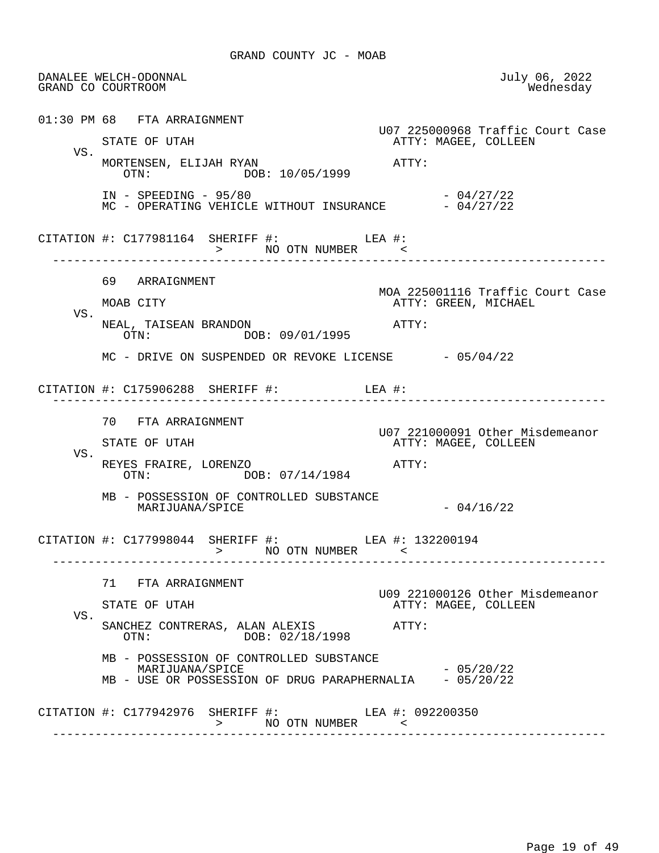DANALEE WELCH-ODONNAL July 06, 2022 GRAND CO COURTROOM 01:30 PM 68 FTA ARRAIGNMENT U07 225000968 Traffic Court Case ATTY: MAGEE, COLLEEN VS. MORTENSEN, ELIJAH RYAN  $\overline{O}$ TN:  $\overline{O}$  $\overline{O}$ R: 10/05/1999 DOB: 10/05/1999 IN - SPEEDING - 95/80<br>MC - OPERATING VEHICLE WITHOUT INSURANCE - 04/27/22 MC - OPERATING VEHICLE WITHOUT INSURANCE CITATION  $\#$ : C177981164 SHERIFF  $\#$ : LEA  $\#$ : LEA  $\#$ :  $\ge$  NO OTN NUMBER > NO OTN NUMBER < ------------------------------------------------------------------------------ 69 ARRAIGNMENT MOA 225001116 Traffic Court Case ATTY: GREEN, MICHAEL VS. NEAL, TAISEAN BRANDON<br>OTN: DOB: 09/01/1995<br>OTN: DOB: 09/01/1995 DOB: 09/01/1995  $MC$  - DRIVE ON SUSPENDED OR REVOKE LICENSE  $-05/04/22$  CITATION #: C175906288 SHERIFF #: LEA #: ------------------------------------------------------------------------------ 70 FTA ARRAIGNMENT U07 221000091 Other Misdemeanor ATTY: MAGEE, COLLEEN VS. REYES FRAIRE, LORENZO ATTY: DOB: 07/14/1984 MB - POSSESSION OF CONTROLLED SUBSTANCE  $MARTJUANA/SPICE$   $-04/16/22$ CITATION #: C177998044 SHERIFF #: LEA #: 132200194 > NO OTN NUMBER < ------------------------------------------------------------------------------ 71 FTA ARRAIGNMENT U09 221000126 Other Misdemeanor ATTY: MAGEE, COLLEEN VS. SANCHEZ CONTRERAS, ALAN ALEXIS <br>OTN: DOB: 02/18/1998 ATTY: DOB: 02/18/1998 MB - POSSESSION OF CONTROLLED SUBSTANCE MARIJUANA/SPICE - 05/20/22 MB - USE OR POSSESSION OF DRUG PARAPHERNALIA CITATION #: C177942976 SHERIFF #: LEA #: 092200350 > NO OTN NUMBER ------------------------------------------------------------------------------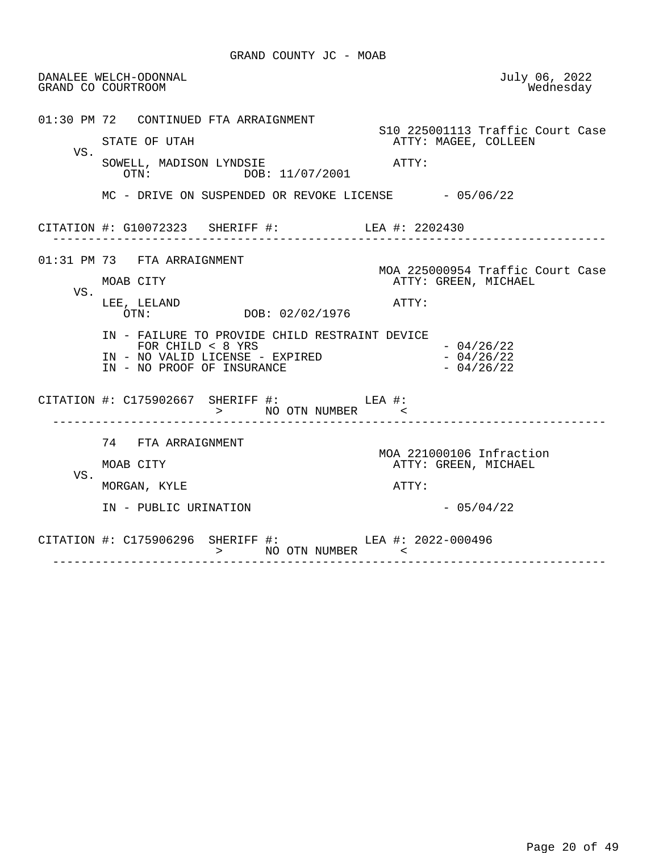|     | DANALEE WELCH-ODONNAL<br>GRAND CO COURTROOM                                                                                            | July 06, 2022<br>Wednesday                               |
|-----|----------------------------------------------------------------------------------------------------------------------------------------|----------------------------------------------------------|
|     | 01:30 PM 72 CONTINUED FTA ARRAIGNMENT<br>STATE OF UTAH                                                                                 | S10 225001113 Traffic Court Case<br>ATTY: MAGEE, COLLEEN |
| VS. | SOWELL, MADISON LYNDSIE<br>OTN: DOB: 11/07/2001                                                                                        | ATTY:                                                    |
|     | $MC$ - DRIVE ON SUSPENDED OR REVOKE LICENSE $-05/06/22$                                                                                |                                                          |
|     | CITATION #: G10072323 SHERIFF #: LEA #: 2202430                                                                                        |                                                          |
|     | 01:31 PM 73 FTA ARRAIGNMENT<br>MOAB CITY                                                                                               | MOA 225000954 Traffic Court Case<br>ATTY: GREEN, MICHAEL |
| VS. | LEE, LELAND<br>OTN: DOB: 02/02/1976                                                                                                    | ATTY:                                                    |
|     | IN - FAILURE TO PROVIDE CHILD RESTRAINT DEVICE<br>FOR CHILD $< 8$ YRS<br>IN - NO VALID LICENSE - EXPIRED<br>IN - NO PROOF OF INSURANCE | $-04/26/22$<br>$-04/26/22$<br>$-04/26/22$                |
|     | CITATION #: $C175902667$ SHERIFF #: LEA #:<br>> NO OTN NUMBER <                                                                        |                                                          |
|     | 74 FTA ARRAIGNMENT                                                                                                                     | MOA 221000106 Infraction                                 |
| VS. | MOAB CITY                                                                                                                              | ATTY: GREEN, MICHAEL                                     |
|     | MORGAN, KYLE                                                                                                                           | ATTY:                                                    |
|     | IN - PUBLIC URINATION                                                                                                                  | $-05/04/22$                                              |
|     | CITATION #: C175906296 SHERIFF #: LEA #: 2022-000496<br>> NO OTN NUMBER <                                                              |                                                          |

------------------------------------------------------------------------------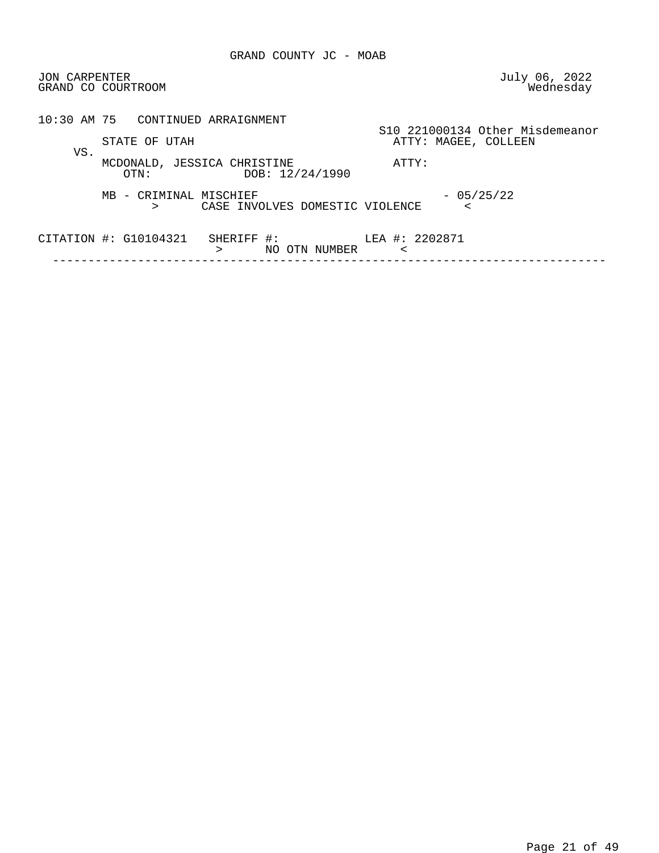| <b>JON CARPENTER</b> | GRAND CO COURTROOM                                                         | July 06, 2022<br>Wednesday                              |
|----------------------|----------------------------------------------------------------------------|---------------------------------------------------------|
|                      | 10:30 AM 75 CONTINUED ARRAIGNMENT                                          |                                                         |
| VS.                  | STATE OF UTAH                                                              | S10 221000134 Other Misdemeanor<br>ATTY: MAGEE, COLLEEN |
|                      | MCDONALD, JESSICA CHRISTINE<br>DOB: 12/24/1990<br>OTN:                     | ATTY:                                                   |
|                      | MB - CRIMINAL MISCHIEF<br>CASE INVOLVES DOMESTIC VIOLENCE<br>⋗             | $-05/25/22$<br><                                        |
|                      | CITATION $\sharp\colon$ G10104321<br>SHERIFF #:<br>NO .<br>OTN NUMBER<br>⋗ | LEA #: 2202871<br>$\,<\,$                               |
|                      |                                                                            |                                                         |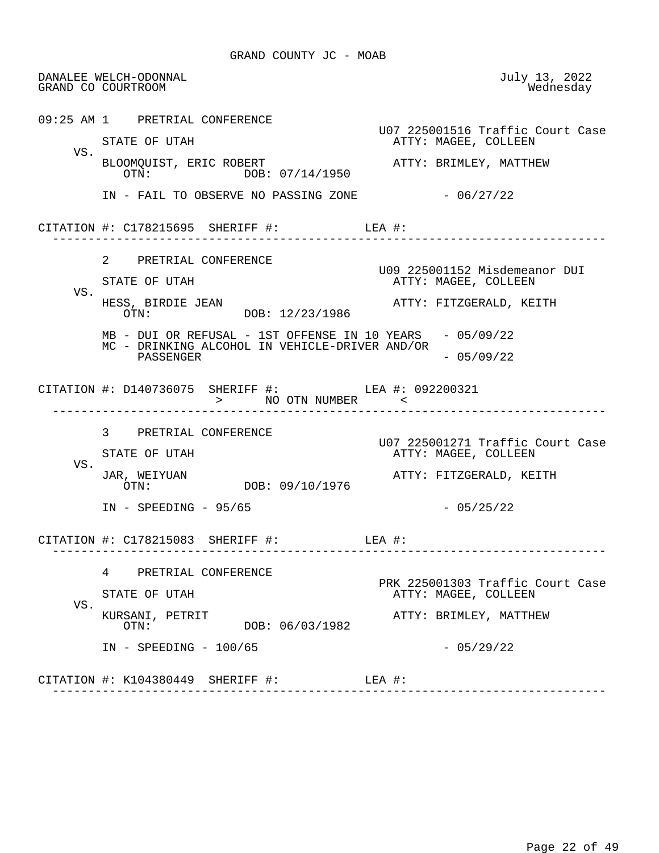DANALEE WELCH-ODONNAL July 13, 2022 GRAND CO COURTROOM 09:25 AM 1 PRETRIAL CONFERENCE U07 225001516 Traffic Court Case ATTY: MAGEE, COLLEEN VS. BLOOMQUIST, ERIC ROBERT **ATTY: BRIMLEY, MATTHEW**<br>OTN: DOR: 07/14/1950 OTN: DOB: 07/14/1950 IN - FAIL TO OBSERVE NO PASSING ZONE  $-06/27/22$  CITATION #: C178215695 SHERIFF #: LEA #: ------------------------------------------------------------------------------ 2 PRETRIAL CONFERENCE U09 225001152 Misdemeanor DUI ATTY: MAGEE, COLLEEN VS.<br>HESS, BIRDIE JEAN HESS, BIRDIE JEAN ATTY: FITZGERALD, KEITH DOB: 12/23/1986 MB - DUI OR REFUSAL - 1ST OFFENSE IN 10 YEARS - 05/09/22 MC - DRINKING ALCOHOL IN VEHICLE-DRIVER AND/OR PASSENGER - 05/09/22 CITATION #: D140736075 SHERIFF #: LEA #: 092200321 > NO OTN NUMBER < ------------------------------------------------------------------------------ 3 PRETRIAL CONFERENCE U07 225001271 Traffic Court Case ATTY: MAGEE, COLLEEN VS.<br>JAR, WEIYUAN JAR, WEIYUAN ATTY: FITZGERALD, KEITH DOB: 09/10/1976 IN - SPEEDING - 95/65 - 2007 - 2014 - 2014 - 2014 - 2014 - 2014 - 2014 - 2014 - 2014 - 2014 - 2014 - 2014 - 20 CITATION #: C178215083 SHERIFF #: LEA #: ------------------------------------------------------------------------------ 4 PRETRIAL CONFERENCE PRK 225001303 Traffic Court Case<br>PRK 225001303 Traffic Court Case<br>ATTY: MAGEE, COLLEEN ATTY: MAGEE, COLLEEN VS.<br>KURSANI, PETRIT KURSANI, PETRIT ATTY: BRIMLEY, MATTHEW DOB: 06/03/1982 IN - SPEEDING - 100/65 - 200 - 201 - 201 - 201 22 CITATION #: K104380449 SHERIFF #: LEA #: ------------------------------------------------------------------------------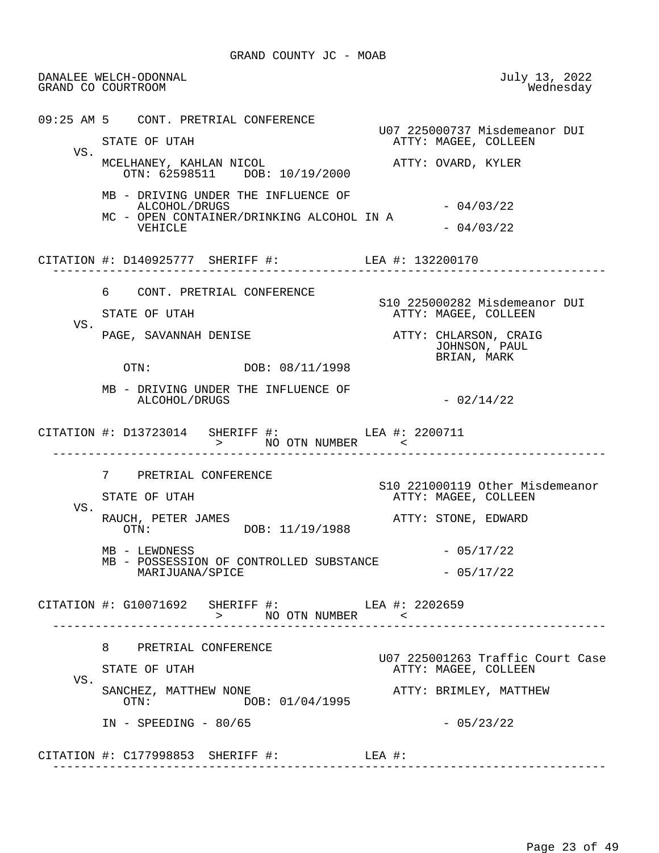DANALEE WELCH-ODONNAL July 13, 2022 GRAND CO COURTROOM 09:25 AM 5 CONT. PRETRIAL CONFERENCE U07 225000737 Misdemeanor DUI ATTY: MAGEE, COLLEEN VS. MCELHANEY, KAHLAN NICOL ATTY: OVARD, KYLER OTN: 62598511 DOB: 10/19/2000 MB - DRIVING UNDER THE INFLUENCE OF ALCOHOL/DRUGS - 04/03/22 MC - OPEN CONTAINER/DRINKING ALCOHOL IN A  $VEHICLE$   $- 04/03/22$  CITATION #: D140925777 SHERIFF #: LEA #: 132200170 ------------------------------------------------------------------------------ 6 CONT. PRETRIAL CONFERENCE S10 225000282 Misdemeanor DUI ATTY: MAGEE, COLLEEN VS.<br>PAGE, SAVANNAH DENISE PAGE, SAVANNAH DENISE ATTY: CHLARSON, CRAIG JOHNSON, PAUL BRIAN, MARK DOB: 08/11/1998 MB - DRIVING UNDER THE INFLUENCE OF ALCOHOL/DRUGS - 02/14/22 CITATION #: D13723014 SHERIFF #: LEA #: 2200711 > NO OTN NUMBER < ------------------------------------------------------------------------------ 7 PRETRIAL CONFERENCE S10 221000119 Other Misdemeanor ATTY: MAGEE, COLLEEN VS. RAUCH, PETER JAMES<br>
OTN: DOB: 11/19/1988<br>
ATTY: STONE, EDWARD DOB: 11/19/1988  $MB - LEWDNESS$  - 05/17/22 MB - POSSESSION OF CONTROLLED SUBSTANCE MARIJUANA/SPICE - 05/17/22 CITATION #: G10071692 SHERIFF #: LEA #: 2202659 > NO OTN NUMBER < ------------------------------------------------------------------------------ 8 PRETRIAL CONFERENCE U07 225001263 Traffic Court Case ATTY: MAGEE, COLLEEN VS. SANCHEZ, MATTHEW NONE<br>
OTN: DOB: 01/04/1995<br>
OTN: DOB: 01/04/1995  $IN - SPEEDING - 80/65$  - 05/23/22 CITATION #: C177998853 SHERIFF #: LEA #:

------------------------------------------------------------------------------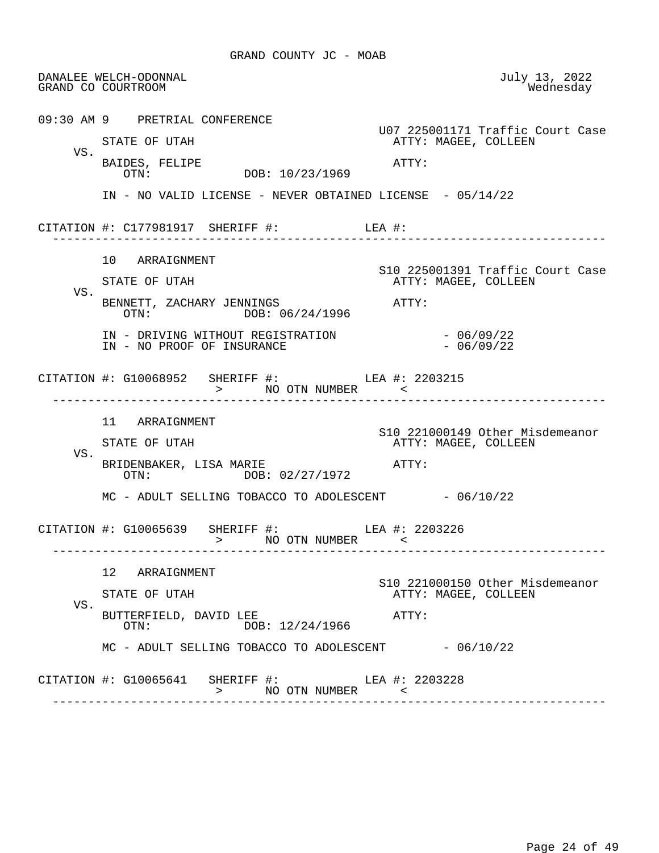|     | DANALEE WELCH-ODONNAL<br>GRAND CO COURTROOM                                     | July 13, 2022<br>Wednesday                              |
|-----|---------------------------------------------------------------------------------|---------------------------------------------------------|
|     | 09:30 AM 9 PRETRIAL CONFERENCE                                                  | U07 225001171 Traffic Court Case                        |
|     | STATE OF UTAH                                                                   | ATTY: MAGEE, COLLEEN                                    |
| VS. | BAIDES, FELIPE<br>DOB: 10/23/1969<br>OTN:                                       | ATTY:                                                   |
|     | IN - NO VALID LICENSE - NEVER OBTAINED LICENSE - 05/14/22                       |                                                         |
|     |                                                                                 |                                                         |
|     | 10 ARRAIGNMENT                                                                  | S10 225001391 Traffic Court Case                        |
| VS. | STATE OF UTAH                                                                   | ATTY: MAGEE, COLLEEN                                    |
|     | BENNETT, ZACHARY JENNINGS<br>OTN: DOB: 06/24/1996                               | ATTY:                                                   |
|     | IN - DRIVING WITHOUT REGISTRATION<br>IN - NO PROOF OF INSURANCE                 | $-06/09/22$<br>$-06/09/22$                              |
|     | CITATION #: G10068952 SHERIFF #: LEA #: 2203215<br>> NO OTN NUMBER              |                                                         |
|     | 11 ARRAIGNMENT                                                                  |                                                         |
|     | STATE OF UTAH                                                                   | S10 221000149 Other Misdemeanor<br>ATTY: MAGEE, COLLEEN |
| VS. | BRIDENBAKER, LISA MARIE<br>OTN: DOB: 02/27/1972                                 | ATTY:                                                   |
|     | MC - ADULT SELLING TOBACCO TO ADOLESCENT - 06/10/22                             |                                                         |
|     | CITATION #: G10065639 SHERIFF #: LEA #: 2203226                                 | -----------------------------                           |
|     | 12 ARRAIGNMENT                                                                  |                                                         |
|     | STATE OF UTAH                                                                   | S10 221000150 Other Misdemeanor<br>ATTY: MAGEE, COLLEEN |
| VS. | BUTTERFIELD, DAVID LEE<br>DOB: 12/24/1966<br>OTN:                               | ATTY:                                                   |
|     | $MC - ADULT$ SELLING TOBACCO TO ADOLESCENT $- 06/10/22$                         |                                                         |
|     | CITATION #: G10065641 SHERIFF #: LEA #: 2203228<br>>            NO  OTN  NUMBER | $\sim$ $\sim$                                           |
|     |                                                                                 |                                                         |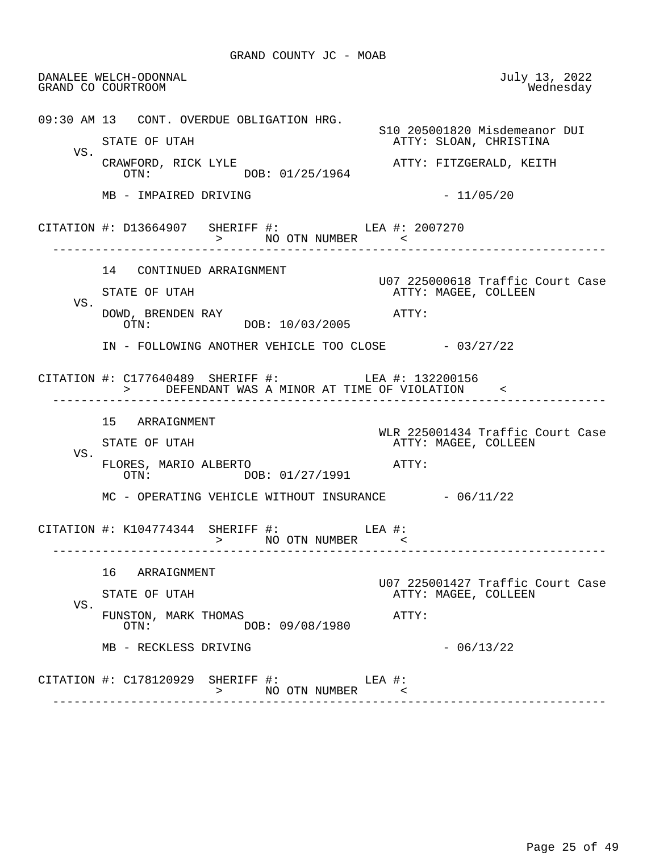DANALEE WELCH-ODONNAL July 13, 2022 GRAND CO COURTROOM 09:30 AM 13 CONT. OVERDUE OBLIGATION HRG. S10 205001820 Misdemeanor DUI<br>STATE OF UTAH TELOAN, CHRISTINA ATTY: SLOAN, CHRISTINA VS.<br>CRAWFORD, RICK LYLE ATTY: FITZGERALD, KEITH OTN: DOB: 01/25/1964  $MB - IMPAIRED DRIVING$  - 11/05/20 CITATION #: D13664907 SHERIFF #: LEA #: 2007270 > NO OTN NUMBER < ------------------------------------------------------------------------------ 14 CONTINUED ARRAIGNMENT U07 225000618 Traffic Court Case ATTY: MAGEE, COLLEEN VS. DOWD, BRENDEN RAY <br>OTN: DOB: 10/03/2005 ATTY: DOB: 10/03/2005 IN - FOLLOWING ANOTHER VEHICLE TOO CLOSE - 03/27/22 CITATION #: C177640489 SHERIFF #: LEA #: 132200156 > DEFENDANT WAS A MINOR AT TIME OF VIOLATION < ------------------------------------------------------------------------------ 15 ARRAIGNMENT WLR 225001434 Traffic Court Case ATTY: MAGEE, COLLEEN VS. FLORES, MARIO ALBERTO  $\overline{O}$  at  $\overline{O}$  at  $\overline{O}$ DOB: 01/27/1991  $MC - OPERATING VEHICLE WITHOUT IN SURANCE -  $06/11/22$$  CITATION #: K104774344 SHERIFF #: LEA #: > NO OTN NUMBER < ------------------------------------------------------------------------------ 16 ARRAIGNMENT U07 225001427 Traffic Court Case ATTY: MAGEE, COLLEEN VS. FUNSTON, MARK THOMAS <br>OTN: DOB: 09/08/1980 OTN: DOB: 09/08/1980  $MB - RECKLESS DRIVING - 06/13/22$  CITATION #: C178120929 SHERIFF #: LEA #: > NO OTN NUMBER < ------------------------------------------------------------------------------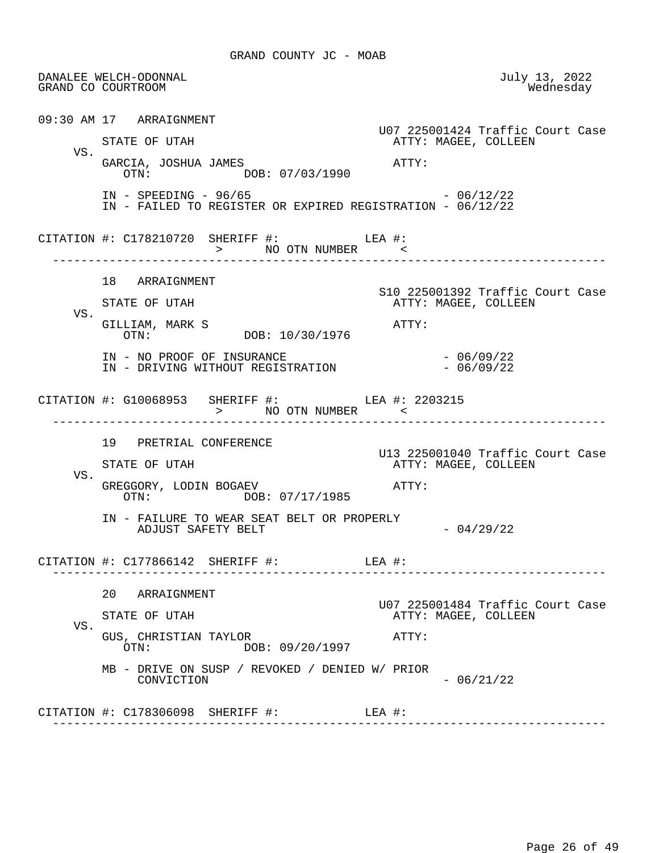DANALEE WELCH-ODONNAL July 13, 2022 GRAND CO COURTROOM 09:30 AM 17 ARRAIGNMENT U07 225001424 Traffic Court Case ATTY: MAGEE, COLLEEN VS. GARCIA, JOSHUA JAMES<br>
OTN: DOB: 07/03/1990<br>
OTN: DOB: 07/03/1990 IN - SPEEDING - 96/65 - 2000 - 2012/22 IN - FAILED TO REGISTER OR EXPIRED REGISTRATION - 06/12/22 CITATION #: C178210720 SHERIFF #: LEA #: > NO OTN NUMBER ------------------------------------------------------------------------------ 18 ARRAIGNMENT S10 225001392 Traffic Court Case ATTY: MAGEE, COLLEEN VS. GILLIAM, MARK S<br>  $OTN:$   $O/N:$   $DOB: 10/30/1976$   $ATTY:$  OTN: DOB: 10/30/1976 IN - NO PROOF OF INSURANCE<br>IN - DRIVING WITHOUT REGISTRATION - 06/09/22 IN - DRIVING WITHOUT REGISTRATION CITATION #: G10068953 SHERIFF #: LEA #: 2203215 > NO OTN NUMBER < ------------------------------------------------------------------------------ 19 PRETRIAL CONFERENCE U13 225001040 Traffic Court Case ATTY: MAGEE, COLLEEN VS. GREGGORY, LODIN BOGAEV ATTY: DOB: 07/17/1985 IN - FAILURE TO WEAR SEAT BELT OR PROPERLY ADJUST SAFETY BELT  $- 04/29/22$  CITATION #: C177866142 SHERIFF #: LEA #: ------------------------------------------------------------------------------ 20 ARRAIGNMENT U07 225001484 Traffic Court Case ATTY: MAGEE, COLLEEN VS. GUS, CHRISTIAN TAYLOR **ATTY:**  OTN: DOB: 09/20/1997 MB - DRIVE ON SUSP / REVOKED / DENIED W/ PRIOR  $CONVICTION$  - 06/21/22 CITATION #: C178306098 SHERIFF #: LEA #: ------------------------------------------------------------------------------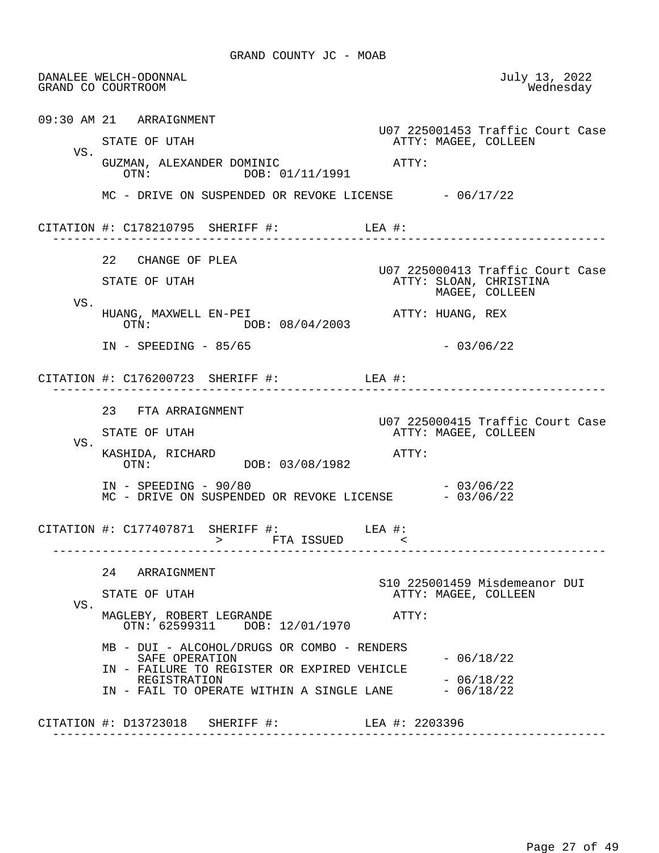DANALEE WELCH-ODONNAL July 13, 2022 GRAND CO COURTROOM 09:30 AM 21 ARRAIGNMENT U07 225001453 Traffic Court Case ATTY: MAGEE, COLLEEN VS. GUZMAN, ALEXANDER DOMINIC  $\overline{OPTY}:$ <br>
OTN:  $\overline{OR}: 01/11/1991$ DOB: 01/11/1991  $MC$  - DRIVE ON SUSPENDED OR REVOKE LICENSE  $-06/17/22$  CITATION #: C178210795 SHERIFF #: LEA #: ------------------------------------------------------------------------------ 22 CHANGE OF PLEA U07 225000413 Traffic Court Case ATTY: SLOAN, CHRISTINA MAGEE, COLLEEN VS. HUANG, MAXWELL EN-PEI<br>OTN: DOB: 08/04/2003<br>ATTY: HUANG, REX DOB: 08/04/2003 IN - SPEEDING - 85/65 - 03/06/22 CITATION #: C176200723 SHERIFF #: LEA #: ------------------------------------------------------------------------------ 23 FTA ARRAIGNMENT U07 225000415 Traffic Court Case ATTY: MAGEE, COLLEEN VS. KASHIDA, RICHARD<br>
OTN: DOB: 03/08/1982<br>
ATTY: DOB: 03/08/1982 IN - SPEEDING - 90/80<br>MC - DRIVE ON SUSPENDED OR REVOKE LICENSE - 03/06/22 MC - DRIVE ON SUSPENDED OR REVOKE LICENSE CITATION #: C177407871 SHERIFF #: > FTA ISSUED < ------------------------------------------------------------------------------ 24 ARRAIGNMENT S10 225001459 Misdemeanor DUI ATTY: MAGEE, COLLEEN VS. MAGLEBY, ROBERT LEGRANDE **ATTY:**  OTN: 62599311 DOB: 12/01/1970 MB - DUI - ALCOHOL/DRUGS OR COMBO - RENDERS SAFE OPERATION - 06/18/22 IN - FAILURE TO REGISTER OR EXPIRED VEHICLE REGISTRATION - 06/18/22 IN - FAIL TO OPERATE WITHIN A SINGLE LANE CITATION #: D13723018 SHERIFF #: LEA #: 2203396 ------------------------------------------------------------------------------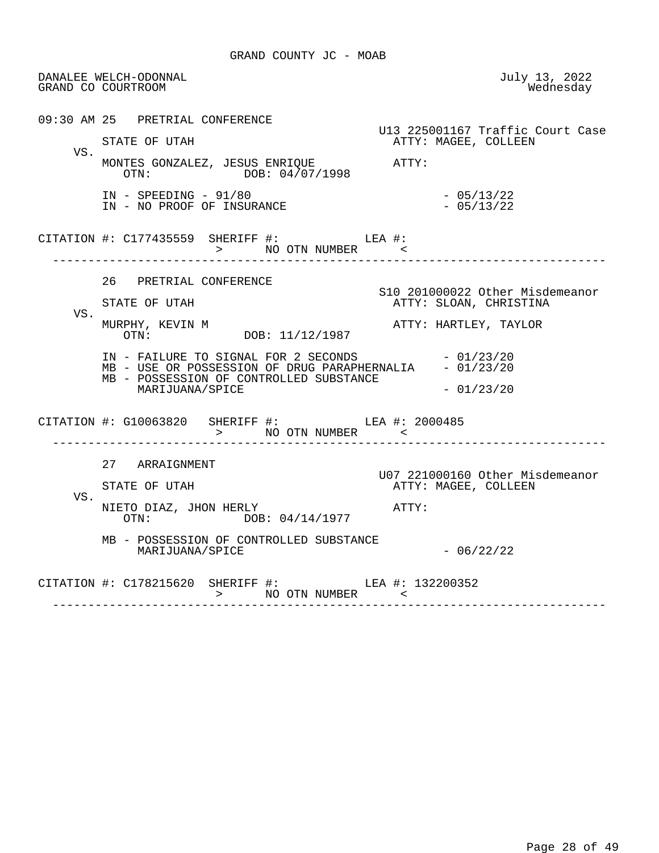DANALEE WELCH-ODONNAL July 13, 2022 GRAND CO COURTROOM 09:30 AM 25 PRETRIAL CONFERENCE U13 225001167 Traffic Court Case ATTY: MAGEE, COLLEEN VS. MONTES GONZALEZ, JESUS ENRIQUE <br>OTN: 04/07/1998 OTN: DOB: 04/07/1998 IN - SPEEDING - 91/80<br>IN - NO PROOF OF INSURANCE - 105/13/22 IN - NO PROOF OF INSURANCE CITATION #: C177435559 SHERIFF #: LEA #: > NO OTN NUMBER < ------------------------------------------------------------------------------ 26 PRETRIAL CONFERENCE S10 201000022 Other Misdemeanor ATTY: SLOAN, CHRISTINA VS.<br>MURPHY, KEVIN M MURPHY, KEVIN M ATTY: HARTLEY, TAYLOR DOB: 11/12/1987  $IN - FAILURE TO SIGNAL FOR 2 SECONDS -  $01/23/20$$ MB - USE OR POSSESSION OF DRUG PARAPHERNALIA - 01/23/20 MB - POSSESSION OF CONTROLLED SUBSTANCE  $MARIJUANA/SPICE$   $-01/23/20$ CITATION #: G10063820 SHERIFF #: LEA #: 2000485 > NO OTN NUMBER < ------------------------------------------------------------------------------ 27 ARRAIGNMENT U07 221000160 Other Misdemeanor ATTY: MAGEE, COLLEEN VS. NIETO DIAZ, JHON HERLY **ATTY:** OTN: DOB: 04/14/1977 MB - POSSESSION OF CONTROLLED SUBSTANCE  $MARIJUANA/SPICE$  - 06/22/22 CITATION #: C178215620 SHERIFF #: LEA #: 132200352 > NO OTN NUMBER < ------------------------------------------------------------------------------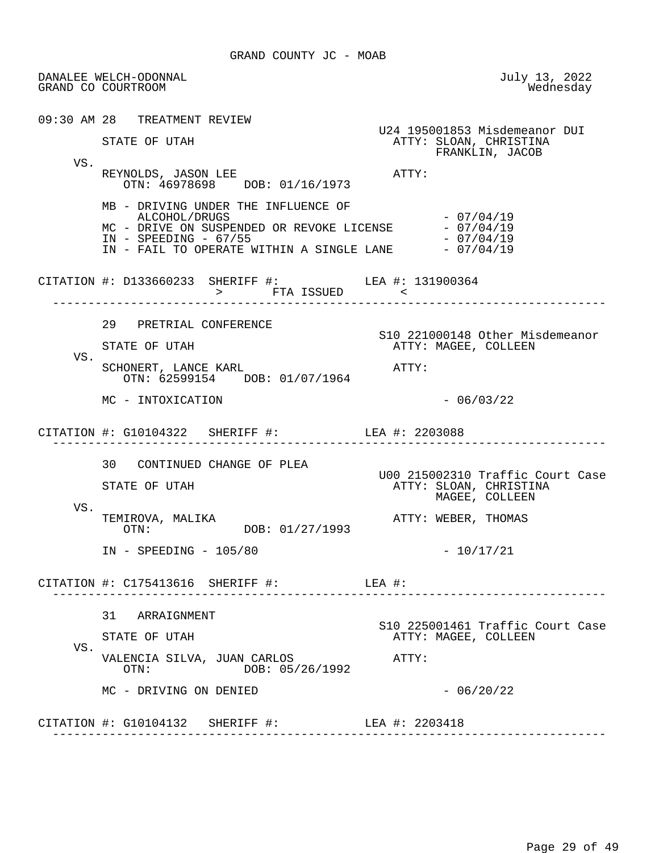DANALEE WELCH-ODONNAL July 13, 2022 GRAND CO COURTROOM 09:30 AM 28 TREATMENT REVIEW U24 195001853 Misdemeanor DUI ATTY: SLOAN, CHRISTINA FRANKLIN, JACOB VS. REYNOLDS, JASON LEE ATTY: OTN: 46978698 DOB: 01/16/1973 MB - DRIVING UNDER THE INFLUENCE OF ALCOHOL/DRUGS - 07/04/19 MC - DRIVE ON SUSPENDED OR REVOKE LICENSE  $-07/04/19$ <br>IN - SPEEDING - 67/55 IN - SPEEDING - 67/55<br>IN - FAIL TO OPERATE WITHIN A SINGLE LANE - 07/04/19 IN - FAIL TO OPERATE WITHIN A SINGLE LANE CITATION #: D133660233 SHERIFF #: LEA #: 131900364 > FTA ISSUED < ------------------------------------------------------------------------------ 29 PRETRIAL CONFERENCE S10 221000148 Other Misdemeanor ATTY: MAGEE, COLLEEN VS. SCHONERT, LANCE KARL **ATTY:**  OTN: 62599154 DOB: 01/07/1964 MC - INTOXICATION  $-$  06/03/22 CITATION #: G10104322 SHERIFF #: LEA #: 2203088 ------------------------------------------------------------------------------ 30 CONTINUED CHANGE OF PLEA U00 215002310 Traffic Court Case ATTY: SLOAN, CHRISTINA MAGEE, COLLEEN VS.<br>TEMIROVA, MALIKA TEMIROVA, MALIKA ATTY: WEBER, THOMAS DOB: 01/27/1993 IN - SPEEDING - 105/80 - 10/17/21 CITATION #: C175413616 SHERIFF #: LEA #: ------------------------------------------------------------------------------ 31 ARRAIGNMENT S10 225001461 Traffic Court Case STATE OF UTAH **ATTY: MAGEE, COLLEEN**  VS. VALENCIA SILVA, JUAN CARLOS (ATTY:<br>OTN: DOB: 05/26/1992 DOB: 05/26/1992  $MC - DRIVING ON DENIED - 06/20/22$  CITATION #: G10104132 SHERIFF #: LEA #: 2203418 ------------------------------------------------------------------------------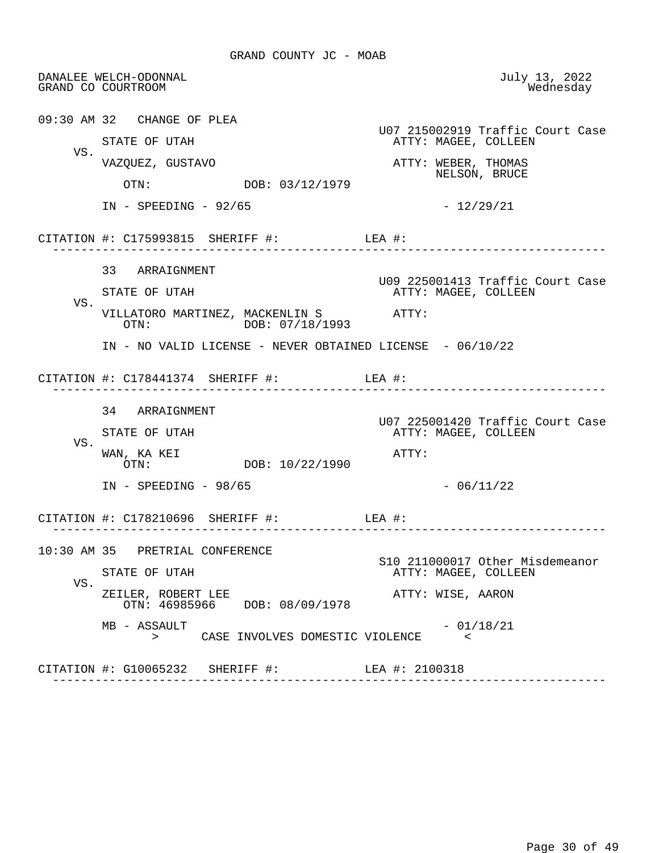DANALEE WELCH-ODONNAL July 13, 2022 GRAND CO COURTROOM 09:30 AM 32 CHANGE OF PLEA U07 215002919 Traffic Court Case ATTY: MAGEE, COLLEEN VS.<br>VAZQUEZ, GUSTAVO ATTY: WEBER, THOMAS  $\overline{C}$  or  $\overline{D}$   $DOB: 03/12/1979$  NELSON, BRUCE DOB: 03/12/1979 IN - SPEEDING - 92/65 - 12/29/21 CITATION #: C175993815 SHERIFF #: LEA #: ------------------------------------------------------------------------------ 33 ARRAIGNMENT U09 225001413 Traffic Court Case ATTY: MAGEE, COLLEEN VS. VILLATORO MARTINEZ, MACKENLIN S ATTY: OTN: DOB: 07/18/1993 IN - NO VALID LICENSE - NEVER OBTAINED LICENSE - 06/10/22 CITATION #: C178441374 SHERIFF #: LEA #: ------------------------------------------------------------------------------ 34 ARRAIGNMENT U07 225001420 Traffic Court Case ATTY: MAGEE, COLLEEN VS. WAN, KA KEI  $OTN:$   $OTN:$   $DOB: 10/22/1990$   $ATTY:$ DOB: 10/22/1990  $IN - SPEEDING - 98/65$  - 06/11/22 CITATION #: C178210696 SHERIFF #: LEA #: ------------------------------------------------------------------------------ 10:30 AM 35 PRETRIAL CONFERENCE S10 211000017 Other Misdemeanor ATTY: MAGEE, COLLEEN VS. ZEILER, ROBERT LEE ATTY: WISE, AARON OTN: 46985966 DOB: 08/09/1978  $MB - ASSAULT$ <br>  $>$  CASE INVOLVES DOMESTIC VIOLENCE  $\leq$ CASE INVOLVES DOMESTIC VIOLENCE CITATION #: G10065232 SHERIFF #: LEA #: 2100318 ------------------------------------------------------------------------------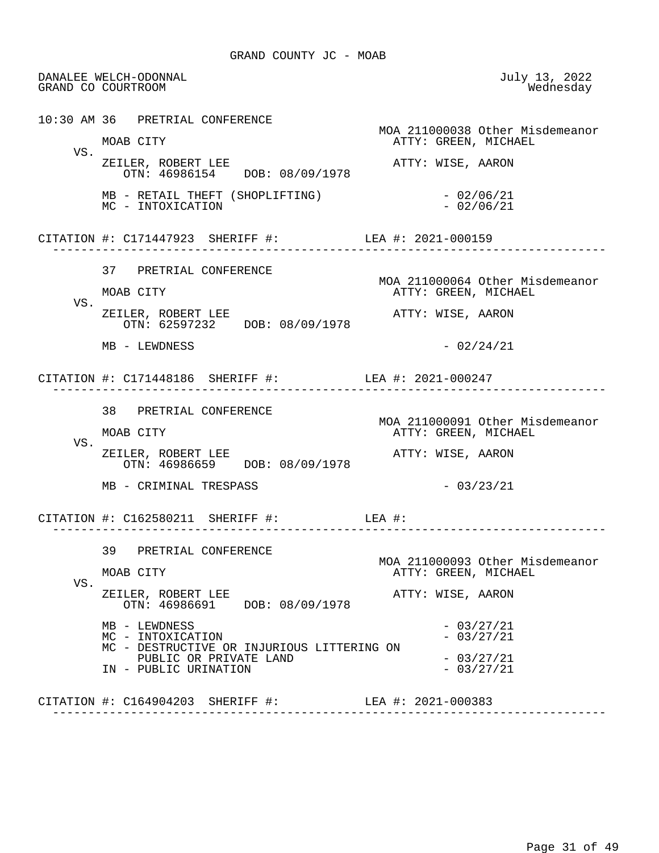DANALEE WELCH-ODONNAL July 13, 2022 GRAND CO COURTROOM 10:30 AM 36 PRETRIAL CONFERENCE MOA 211000038 Other Misdemeanor ATTY: GREEN, MICHAEL VS. ZEILER, ROBERT LEE ATTY: WISE, AARON OTN: 46986154 DOB: 08/09/1978 MB - RETAIL THEFT (SHOPLIFTING) - 02/06/21 MC - INTOXICATION CITATION #: C171447923 SHERIFF #: LEA #: 2021-000159 ------------------------------------------------------------------------------ 37 PRETRIAL CONFERENCE MOA 211000064 Other Misdemeanor MOAB CITY **ATTY: GREEN, MICHAEL**  VS. ZEILER, ROBERT LEE ATTY: WISE, AARON OTN: 62597232 DOB: 08/09/1978  $MB - LEWDNESS$  - 02/24/21 CITATION #: C171448186 SHERIFF #: LEA #: 2021-000247 ------------------------------------------------------------------------------ 38 PRETRIAL CONFERENCE MOA 211000091 Other Misdemeanor ATTY: GREEN, MICHAEL VS. ZEILER, ROBERT LEE ATTY: WISE, AARON OTN: 46986659 DOB: 08/09/1978  $MB - CRIMINAL TRESPASS$  - 03/23/21 CITATION #: C162580211 SHERIFF #: LEA #: ------------------------------------------------------------------------------ 39 PRETRIAL CONFERENCE MOA 211000093 Other Misdemeanor ATTY: GREEN, MICHAEL VS. ZEILER, ROBERT LEE<br>
OTN: 46986691 DOB: 08/09/1978 ATTY: WISE, AARON DOB: 08/09/1978  $MB - LEWDRESS$ <br>  $MC - INTOXICATION$ <br>  $- 03/27/21$ MC - INTOXICATION MC - DESTRUCTIVE OR INJURIOUS LITTERING ON PUBLIC OR PRIVATE LAND  $-03/27/21$ <br>PUBLIC URINATION  $-03/27/21$ IN - PUBLIC URINATION CITATION #: C164904203 SHERIFF #: LEA #: 2021-000383 ------------------------------------------------------------------------------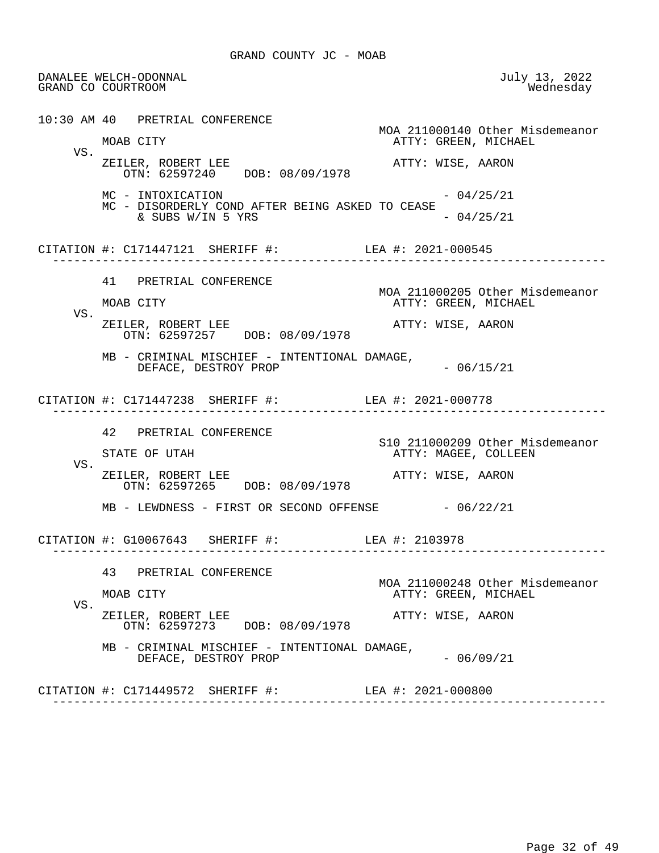DANALEE WELCH-ODONNAL July 13, 2022 GRAND CO COURTROOM 10:30 AM 40 PRETRIAL CONFERENCE MOA 211000140 Other Misdemeanor ATTY: GREEN, MICHAEL VS. ZEILER, ROBERT LEE ATTY: WISE, AARON OTN: 62597240 DOB: 08/09/1978  $MC - INTOXICATION$  - 04/25/21 MC - DISORDERLY COND AFTER BEING ASKED TO CEASE  $\&$  SUBS W/IN 5 YRS - 04/25/21 CITATION #: C171447121 SHERIFF #: LEA #: 2021-000545 ------------------------------------------------------------------------------ 41 PRETRIAL CONFERENCE MOA 211000205 Other Misdemeanor ATTY: GREEN, MICHAEL VS. ZEILER, ROBERT LEE ATTY: WISE, AARON OTN: 62597257 DOB: 08/09/1978 MB - CRIMINAL MISCHIEF - INTENTIONAL DAMAGE, DEFACE, DESTROY PROP - 06/15/21 CITATION #: C171447238 SHERIFF #: LEA #: 2021-000778 ------------------------------------------------------------------------------ 42 PRETRIAL CONFERENCE S10 211000209 Other Misdemeanor ATTY: MAGEE, COLLEEN VS. ZEILER, ROBERT LEE<br>
OTN: 62597265 DOB: 08/09/1978 ATTY: WISE, AARON DOB: 08/09/1978 MB - LEWDNESS - FIRST OR SECOND OFFENSE - 06/22/21 CITATION #: G10067643 SHERIFF #: LEA #: 2103978 ------------------------------------------------------------------------------ 43 PRETRIAL CONFERENCE MOA 211000248 Other Misdemeanor ATTY: GREEN, MICHAEL VS. ZEILER, ROBERT LEE ATTY: WISE, AARON OTN: 62597273 DOB: 08/09/1978 MB - CRIMINAL MISCHIEF - INTENTIONAL DAMAGE, DEFACE, DESTROY PROP  $-06/09/21$  CITATION #: C171449572 SHERIFF #: LEA #: 2021-000800 ------------------------------------------------------------------------------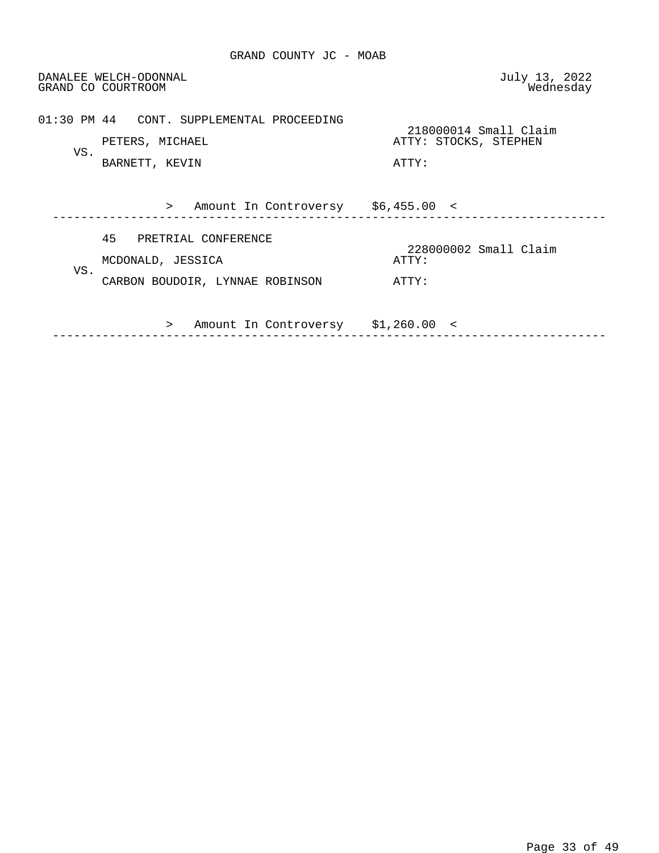DANALEE WELCH-ODONNAL July 13, 2022 GRAND CO COURTROOM 01:30 PM 44 CONT. SUPPLEMENTAL PROCEEDING 218000014 Small Claim ATTY: STOCKS, STEPHEN VS. BARNETT, KEVIN **ATTY:**  > Amount In Controversy \$6,455.00 < ------------------------------------------------------------------------------ 45 PRETRIAL CONFERENCE 228000002 Small Claim MCDONALD, JESSICA VS. CARBON BOUDOIR, LYNNAE ROBINSON ATTY: > Amount In Controversy \$1,260.00 <

------------------------------------------------------------------------------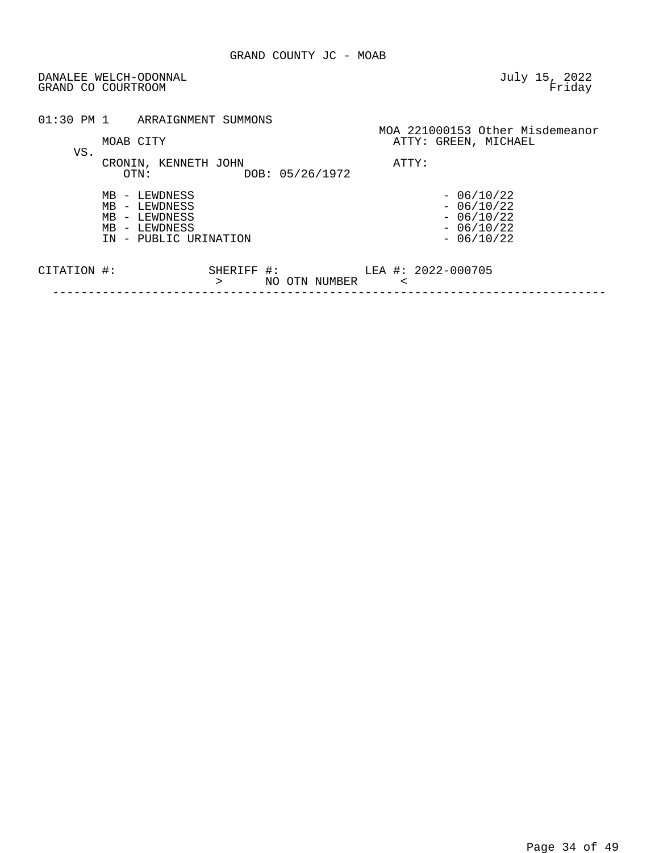| DANALEE WELCH-ODONNAL<br>GRAND CO COURTROOM                                               | July 15, 2022<br>Friday                                                 |
|-------------------------------------------------------------------------------------------|-------------------------------------------------------------------------|
| 01:30 PM 1<br>ARRAIGNMENT SUMMONS                                                         | MOA 221000153 Other Misdemeanor                                         |
| MOAB CITY<br>VS.                                                                          | ATTY: GREEN, MICHAEL                                                    |
| CRONIN, KENNETH JOHN<br>DOB: 05/26/1972<br>OTN:                                           | ATTY:                                                                   |
| MB - LEWDNESS<br>MB - LEWDNESS<br>MB - LEWDNESS<br>MB - LEWDNESS<br>IN - PUBLIC URINATION | $-06/10/22$<br>$-06/10/22$<br>$-06/10/22$<br>$-06/10/22$<br>$-06/10/22$ |
|                                                                                           |                                                                         |

| די הידי<br>1NI   | - 53 |    |       |        | LLA | — → | 2022-000 |
|------------------|------|----|-------|--------|-----|-----|----------|
|                  |      | NO | וחידר | NUMBER |     |     |          |
| ________________ |      |    |       |        |     |     |          |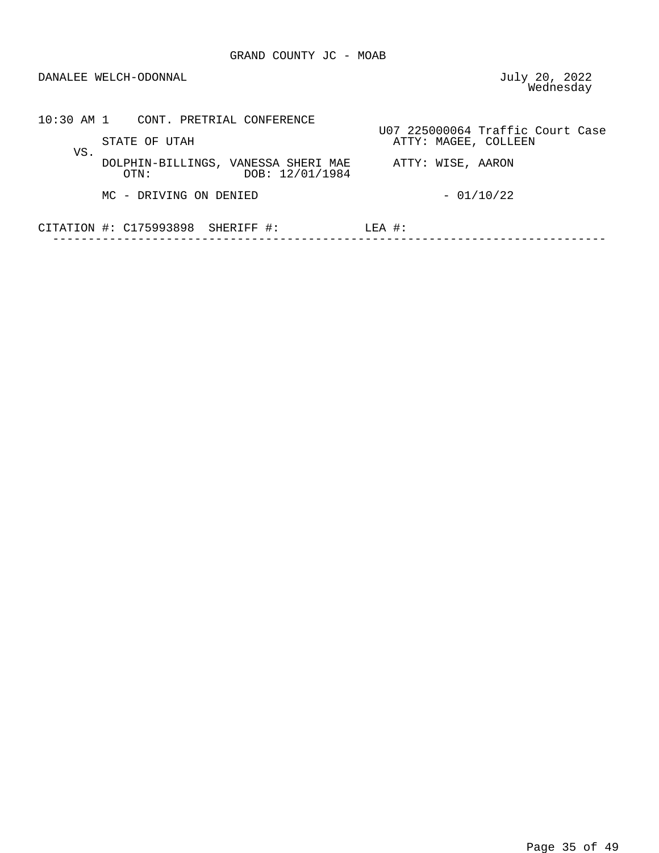DANALEE WELCH-ODONNAL

July 20, 2022<br>Wednesday

| 10:30 AM 1 CONT. PRETRIAL CONFERENCE                                                       |                                                          |
|--------------------------------------------------------------------------------------------|----------------------------------------------------------|
| STATE OF UTAH                                                                              | U07 225000064 Traffic Court Case<br>ATTY: MAGEE, COLLEEN |
| VS.<br>DOLPHIN-BILLINGS, VANESSA SHERI MAE<br>ATTY: WISE, AARON<br>DOB: 12/01/1984<br>OTN: |                                                          |
| MC - DRIVING ON DENIED                                                                     | $-01/10/22$                                              |
| CITATION $\#$ : C175993898 SHERIFF $\#$ :                                                  | $LEA$ #:                                                 |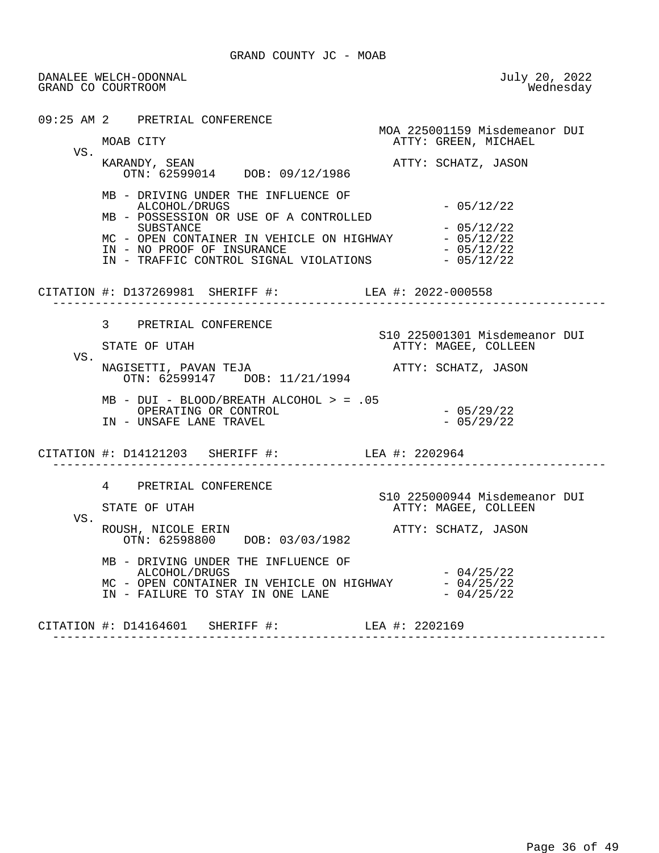DANALEE WELCH-ODONNAL July 20, 2022 GRAND CO COURTROOM 09:25 AM 2 PRETRIAL CONFERENCE MOA 225001159 Misdemeanor DUI<br>MOAB CITY CREEN, MICHAEL ATTY: GREEN, MICHAEL VS. KARANDY, SEAN ATTY: SCHATZ, JASON OTN: 62599014 DOB: 09/12/1986 MB - DRIVING UNDER THE INFLUENCE OF ALCOHOL/DRUGS - 05/12/22 MB - POSSESSION OR USE OF A CONTROLLED SUBSTANCE - 05/12/22 MC - OPEN CONTAINER IN VEHICLE ON HIGHWAY  $-$  05/12/22<br>IN - NO PROOF OF INSURANCE IN - NO PROOF OF INSURANCE<br>IN - TRAFFIC CONTROL SIGNAL VIOLATIONS - 05/12/22 IN - TRAFFIC CONTROL SIGNAL VIOLATIONS CITATION #: D137269981 SHERIFF #: LEA #: 2022-000558 ------------------------------------------------------------------------------ 3 PRETRIAL CONFERENCE STATE OF UTAH STATE OF UTAH STATE OF UTAH ATTY: MAGEE, COLLEEN VS. NAGISETTI, PAVAN TEJA ATTY: SCHATZ, JASON OTN: 62599147 DOB: 11/21/1994 MB - DUI - BLOOD/BREATH ALCOHOL > = .05 OPERATING OR CONTROL - 05/29/22 IN - UNSAFE LANE TRAVEL CITATION #: D14121203 SHERIFF #: LEA #: 2202964 ------------------------------------------------------------------------------ 4 PRETRIAL CONFERENCE S10 225000944 Misdemeanor DUI ATTY: MAGEE, COLLEEN VS.<br>ROUSH, NICOLE ERIN ROUSH, NICOLE ERIN **ATTY: SCHATZ, JASON**  OTN: 62598800 DOB: 03/03/1982 MB - DRIVING UNDER THE INFLUENCE OF ALCOHOL/DRUGS - 04/25/22<br>- OPEN CONTAINER IN VEHICLE ON HIGHWAY - 04/25/22 MC - OPEN CONTAINER IN VEHICLE ON HIGHWAY  $-04/25/22$ <br>IN - FAILURE TO STAY IN ONE LANE  $-04/25/22$ IN - FAILURE TO STAY IN ONE LANE CITATION #: D14164601 SHERIFF #: LEA #: 2202169 ------------------------------------------------------------------------------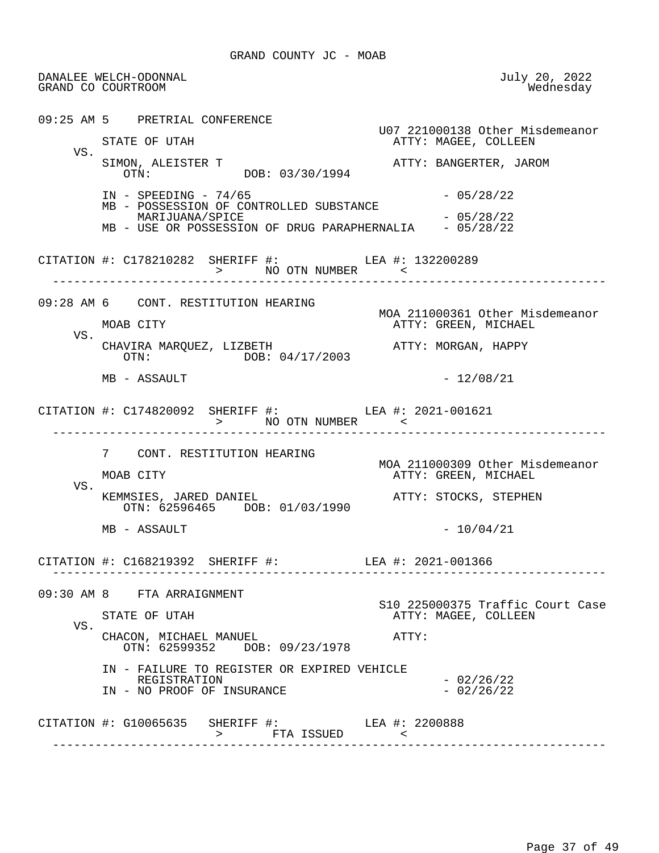DANALEE WELCH-ODONNAL July 20, 2022 GRAND CO COURTROOM 09:25 AM 5 PRETRIAL CONFERENCE U07 221000138 Other Misdemeanor ATTY: MAGEE, COLLEEN VS. SIMON, ALEISTER T<br>
OTN: DOB: 03/30/1994<br>
ATTY: BANGERTER, JAROM DOB: 03/30/1994 IN - SPEEDING - 74/65 - 2008 - 2014 - 2014 - 2014 - 2014 - 2014 - 2014 - 2014 - 2014 - 2014 - 2014 - 2014 - 20 MB - POSSESSION OF CONTROLLED SUBSTANCE MARIJUANA/SPICE  $- 05/28/22$ MB - USE OR POSSESSION OF DRUG PARAPHERNALIA - 05/28/22 CITATION #: C178210282 SHERIFF #: LEA #: 132200289 > NO OTN NUMBER ------------------------------------------------------------------------------ 09:28 AM 6 CONT. RESTITUTION HEARING MOA 211000361 Other Misdemeanor ATTY: GREEN, MICHAEL VS. CHAVIRA MAROUEZ, LIZBETH ATTY: MORGAN, HAPPY OTN: DOB: 04/17/2003  $MB - ASSAULT$  - 12/08/21 CITATION #: C174820092 SHERIFF #: LEA #: 2021-001621 > NO OTN NUMBER < ------------------------------------------------------------------------------ 7 CONT. RESTITUTION HEARING MOA 211000309 Other Misdemeanor ATTY: GREEN, MICHAEL VS. KEMMSIES, JARED DANIEL **ATTY: STOCKS, STEPHEN**  OTN: 62596465 DOB: 01/03/1990  $MB - ASSAULT$  - 10/04/21 CITATION #: C168219392 SHERIFF #: LEA #: 2021-001366 ------------------------------------------------------------------------------ 09:30 AM 8 FTA ARRAIGNMENT S10 225000375 Traffic Court Case<br>STATE OF UTAH THE STATE ATTY: MAGEE, COLLEEN ATTY: MAGEE, COLLEEN VS. CHACON, MICHAEL MANUEL **ATTY:**  OTN: 62599352 DOB: 09/23/1978 IN - FAILURE TO REGISTER OR EXPIRED VEHICLE REGISTRATION - 02/26/22 IN - NO PROOF OF INSURANCE CITATION  $\#$ : G10065635 SHERIFF  $\#$ : SHERIFF #: LEA #: 2200888<br>> FTA ISSUED < ------------------------------------------------------------------------------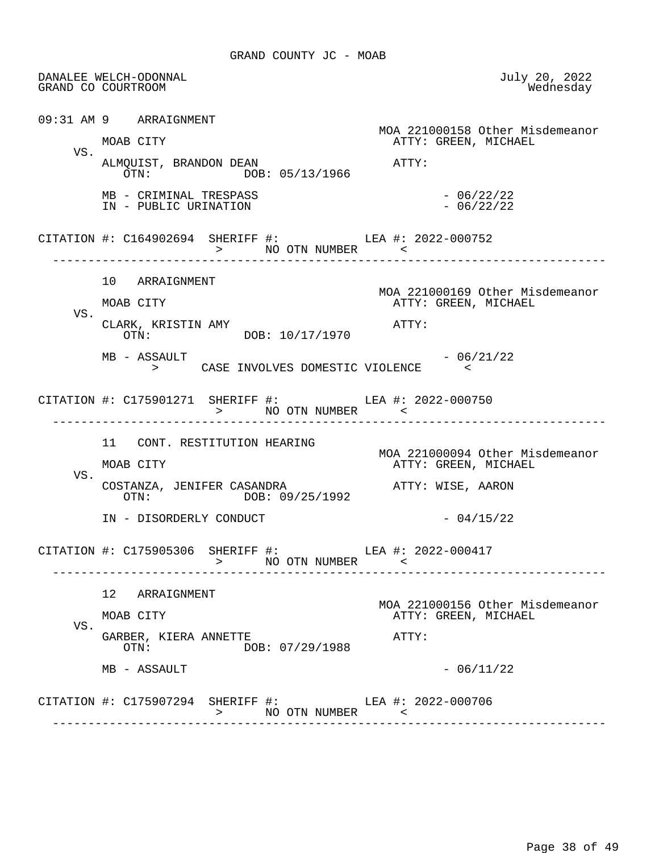DANALEE WELCH-ODONNAL July 20, 2022 GRAND CO COURTROOM 09:31 AM 9 ARRAIGNMENT MOA 221000158 Other Misdemeanor<br>MOAB CITY CREEN, MICHAEL ATTY: GREEN, MICHAEL VS. ALMQUIST, BRANDON DEAN  $\overline{OTN}:$   $\overline{OOS}:$  05/13/1966  $\overline{O/N}:$ DOB: 05/13/1966  $MB - CRIMINAL TRESPASS$ <br>  $IN - PUBLIC URINATION - 06/22/22$ IN - PUBLIC URINATION CITATION #: C164902694 SHERIFF #: LEA #: 2022-000752 > NO OTN NUMBER ------------------------------------------------------------------------------ 10 ARRAIGNMENT MOA 221000169 Other Misdemeanor ATTY: GREEN, MICHAEL VS. CLARK, KRISTIN AMY<br>
OTN: DOB: 10/17/1970<br>
OTN: OTN: DOB: 10/17/1970  $MB - ASSAULT$  - 06/21/22 > CASE INVOLVES DOMESTIC VIOLENCE < CITATION #: C175901271 SHERIFF #: LEA #: 2022-000750 > NO OTN NUMBER < ------------------------------------------------------------------------------ 11 CONT. RESTITUTION HEARING MOA 221000094 Other Misdemeanor ATTY: GREEN, MICHAEL VS. COSTANZA, JENIFER CASANDRA **ATTY: WISE, AARON**<br>
OTN: 09/25/1992 DOB: 09/25/1992 IN - DISORDERLY CONDUCT - 04/15/22 CITATION #: C175905306 SHERIFF #: LEA #: 2022-000417 > NO OTN NUMBER < ------------------------------------------------------------------------------ 12 ARRAIGNMENT MOA 221000156 Other Misdemeanor ATTY: GREEN, MICHAEL VS. GARBER, KIERA ANNETTE ATTY: OTN: DOB: 07/29/1988  $MB - ASSAULT$  - 06/11/22 CITATION #: C175907294 SHERIFF #: LEA #: 2022-000706 > NO OTN NUMBER < ------------------------------------------------------------------------------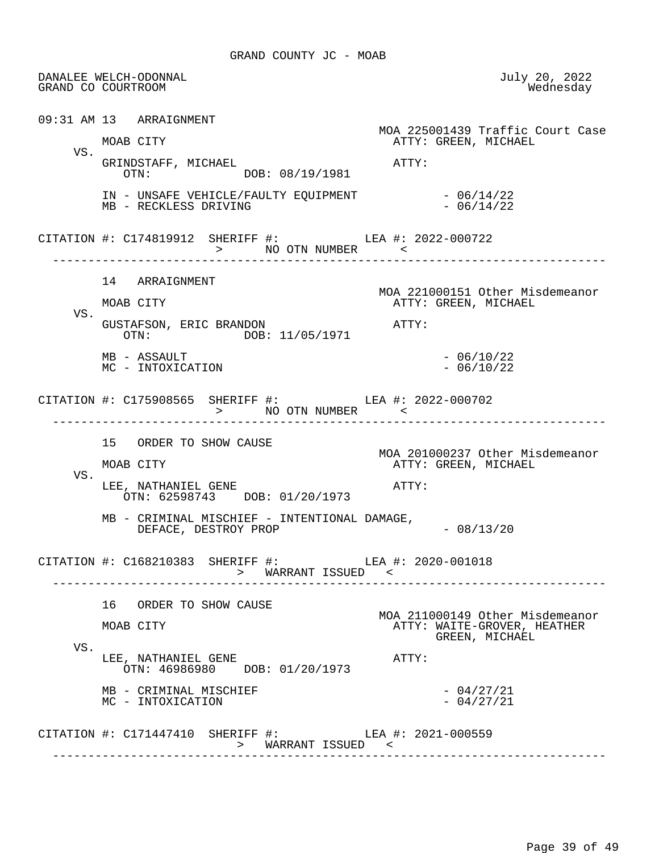DANALEE WELCH-ODONNAL July 20, 2022 GRAND CO COURTROOM 09:31 AM 13 ARRAIGNMENT MOA 225001439 Traffic Court Case ATTY: GREEN, MICHAEL VS. GRINDSTAFF, MICHAEL **ATTY:**<br>OTN: DOB: 08/19/1981 DOB: 08/19/1981 IN - UNSAFE VEHICLE/FAULTY EQUIPMENT - 06/14/22<br>MB - RECKLESS DRIVING MB - RECKLESS DRIVING CITATION #: C174819912 SHERIFF #: LEA #: 2022-000722 > NO OTN NUMBER ------------------------------------------------------------------------------ 14 ARRAIGNMENT MOA 221000151 Other Misdemeanor ATTY: GREEN, MICHAEL VS. GUSTAFSON, ERIC BRANDON <br>
OTN: DOB: 11/05/1971 <br>
OTN: DOB: 11/05/1971  $MB - ASSAULT$ <br>  $MC - INTOXICATION$ <br>  $- 06/10/22$ MC - INTOXICATION CITATION #: C175908565 SHERIFF #: LEA #: 2022-000702 > NO OTN NUMBER < ------------------------------------------------------------------------------ 15 ORDER TO SHOW CAUSE MOA 201000237 Other Misdemeanor<br>MOAB CITY MOAB CITY ATTY: GREEN, MICHAEL ATTY: GREEN, MICHAEL VS. LEE, NATHANIEL GENE **ATTY:**  OTN: 62598743 DOB: 01/20/1973 MB - CRIMINAL MISCHIEF - INTENTIONAL DAMAGE,  $DEFACE$ ,  $DESTROY$  PROP  $-$  08/13/20 CITATION #: C168210383 SHERIFF #: LEA #: 2020-001018 > WARRANT ISSUED < ------------------------------------------------------------------------------ 16 ORDER TO SHOW CAUSE MOA 211000149 Other Misdemeanor<br>MOAB CITY MOAR CITY MOAB CITY MOAR CITY ATTY: WAITE-GROVER, HEATHER GREEN, MICHAEL VS. LEE, NATHANIEL GENE ATTY: OTN: 46986980 DOB: 01/20/1973  $MB - CRIMINAL$  MISCHIEF  $- 04/27/21$ <br>MC - INTOXICATION - 04/27/21 MC - INTOXICATION CITATION #: C171447410 SHERIFF #: LEA #: 2021-000559 > WARRANT ISSUED < --------------------------------------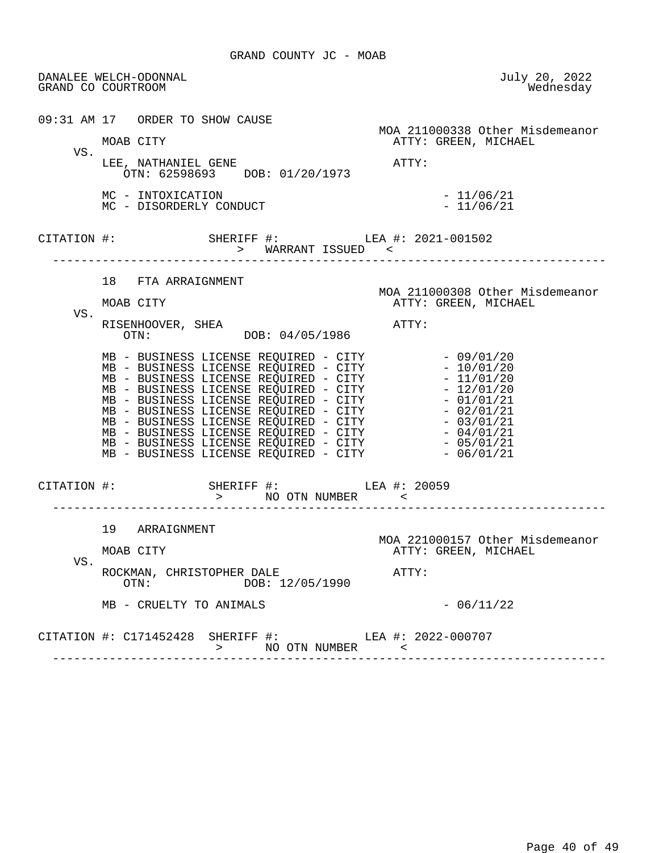DANALEE WELCH-ODONNAL July 20, 2022 GRAND CO COURTROOM 09:31 AM 17 ORDER TO SHOW CAUSE MOA 211000338 Other Misdemeanor ATTY: GREEN, MICHAEL VS. LEE, NATHANIEL GENE ATTY: OTN: 62598693 DOB: 01/20/1973 MC - INTOXICATION - 11/06/21<br>MC - DISORDERLY CONDUCT - 11/06/21 MC - DISORDERLY CONDUCT CITATION #: SHERIFF #: LEA #: 2021-001502 > WARRANT ISSUED < ------------------------------------------------------------------------------ 18 FTA ARRAIGNMENT MOA 211000308 Other Misdemeanor ATTY: GREEN, MICHAEL VS. RISENHOOVER, SHEA <br>OTN: DOB: 04/05/1986 ATTY: DOB: 04/05/1986 MB - BUSINESS LICENSE REQUIRED - CITY - 09/01/20 MB - BUSINESS LICENSE REQUIRED - CITY - 10/01/20 MB - BUSINESS LICENSE REQUIRED - CITY - 11/01/20 MB - BUSINESS LICENSE REQUIRED - CITY - 12/01/20 MB - BUSINESS LICENSE REQUIRED - CITY - 01/01/21 MB - BUSINESS LICENSE REQUIRED - CITY - 02/01/21 MB - BUSINESS LICENSE REQUIRED - CITY - 03/01/21 MB - BUSINESS LICENSE REQUIRED - CITY - 04/01/21 MB - BUSINESS LICENSE REQUIRED - CITY - 05/01/21 MB - BUSINESS LICENSE REQUIRED - CITY - 06/01/21 CITATION #: SHERIFF #: LEA #: 20059 > NO OTN NUMBER < ------------------------------------------------------------------------------ 19 ARRAIGNMENT MOA 221000157 Other Misdemeanor<br>MOAB CITY MOAB CITY ATTY: GREEN, MICHAEL ATTY: GREEN, MICHAEL VS. ROCKMAN, CHRISTOPHER DALE ATTY: OTN: DOB: 12/05/1990  $MB - CRUELTY TO ANIMALS$  - 06/11/22 CITATION #: C171452428 SHERIFF #: LEA #: 2022-000707 > NO OTN NUMBER <

------------------------------------------------------------------------------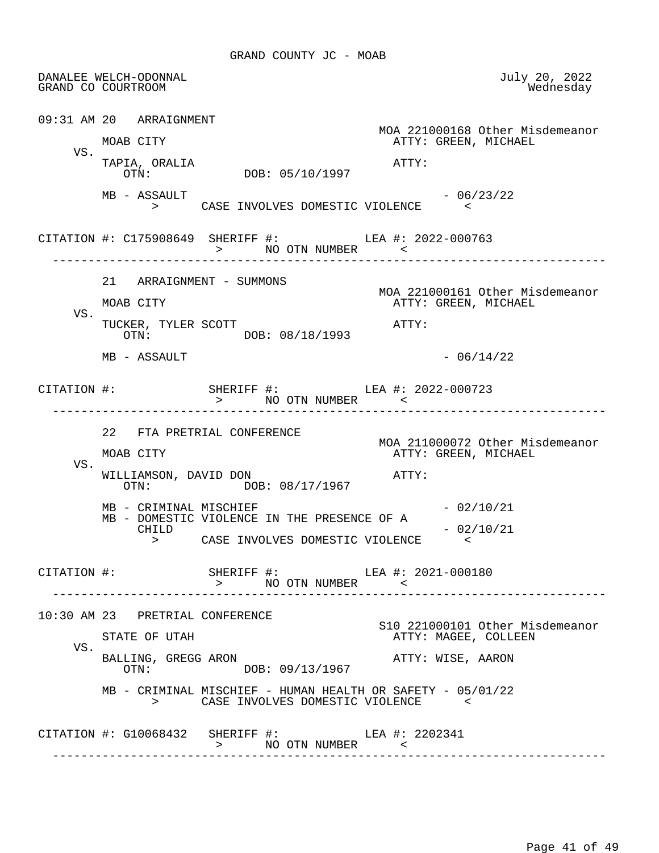DANALEE WELCH-ODONNAL July 20, 2022 GRAND CO COURTROOM 09:31 AM 20 ARRAIGNMENT MOA 221000168 Other Misdemeanor<br>MOAB CITY MOAB CITY ATTY: GREEN, MICHAEL ATTY: GREEN, MICHAEL VS. TAPIA, ORALIA **ATTY:** OTN: DOB: 05/10/1997  $MB - ASSAULT$  - 06/23/22 > CASE INVOLVES DOMESTIC VIOLENCE < CITATION #: C175908649 SHERIFF #: LEA #: 2022-000763 > NO OTN NUMBER < ------------------------------------------------------------------------------ 21 ARRAIGNMENT - SUMMONS MOA 221000161 Other Misdemeanor<br>MOAB CITY MOAB CITY ATTY: GREEN, MICHAEL ATTY: GREEN, MICHAEL VS. TUCKER, TYLER SCOTT ATTY: OTN: DOB: 08/18/1993  $MB - ASSAULT$  - 06/14/22 CITATION #: SHERIFF #: LEA #: 2022-000723 > NO OTN NUMBER < ------------------------------------------------------------------------------ 22 FTA PRETRIAL CONFERENCE MOA 211000072 Other Misdemeanor<br>MOAB CITY MOAB CITY ATTY: GREEN, MICHAEL ATTY: GREEN, MICHAEL VS. WILLIAMSON, DAVID DON  $\overline{OTN}:$  DOB: 08/17/1967 ATTY: DOB: 08/17/1967  $MB - CRIMINAL$  MISCHIEF  $- 02/10/21$ MB - DOMESTIC VIOLENCE IN THE PRESENCE OF A<br>CHILD  $-02/10/21$  > CASE INVOLVES DOMESTIC VIOLENCE < CITATION #: SHERIFF #: LEA #: 2021-000180 > NO OTN NUMBER < ------------------------------------------------------------------------------ 10:30 AM 23 PRETRIAL CONFERENCE S10 221000101 Other Misdemeanor ATTY: MAGEE, COLLEEN VS. BALLING, GREGG ARON **ATTY: WISE, AARON** ATTY: WISE, AARON DOB: 09/13/1967 MB - CRIMINAL MISCHIEF - HUMAN HEALTH OR SAFETY - 05/01/22<br>> CASE INVOLVES DOMESTIC VIOLENCE > CASE INVOLVES DOMESTIC VIOLENCE < CITATION #: G10068432 SHERIFF #: LEA #: 2202341 > NO OTN NUMBER < ------------------------------------------------------------------------------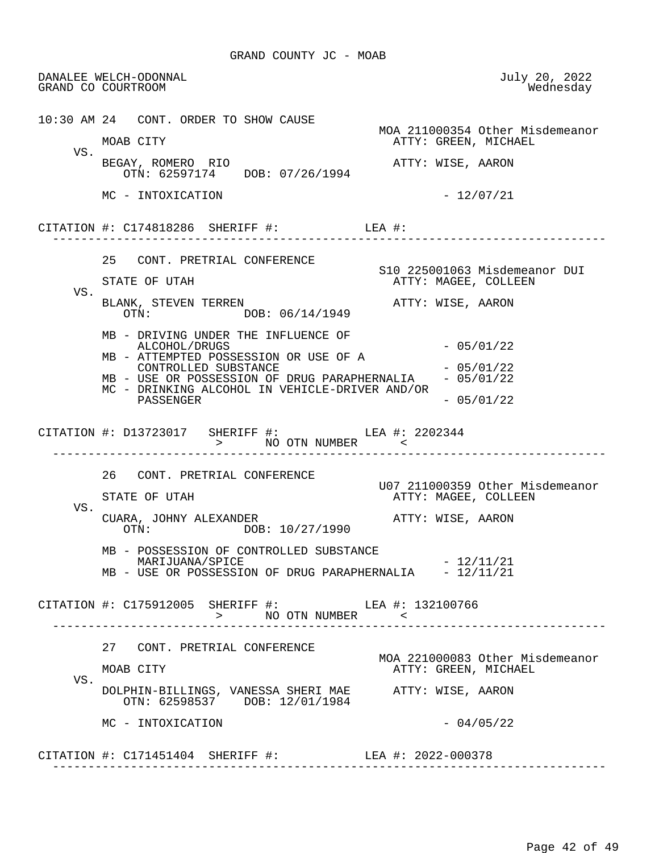DANALEE WELCH-ODONNAL July 20, 2022 GRAND CO COURTROOM 10:30 AM 24 CONT. ORDER TO SHOW CAUSE MOA 211000354 Other Misdemeanor<br>MOAB CITY MOAB CITY ATTY: GREEN, MICHAEL ATTY: GREEN, MICHAEL VS. BEGAY, ROMERO RIO **ATTY: WISE, AARON**  OTN: 62597174 DOB: 07/26/1994  $MC - INTOXICATION$  - 12/07/21 CITATION #: C174818286 SHERIFF #: LEA #: ------------------------------------------------------------------------------ 25 CONT. PRETRIAL CONFERENCE STATE OF UTAH STATE OF UTAH STATE OF UTAH ATTY: MAGEE, COLLEEN VS. BLANK, STEVEN TERREN <br>OTN: DOB: 06/14/1949 ATTY: WISE, AARON DOB: 06/14/1949 MB - DRIVING UNDER THE INFLUENCE OF ALCOHOL/DRUGS - 05/01/22 MB - ATTEMPTED POSSESSION OR USE OF A CONTROLLED SUBSTANCE  $-05/01/22$ <br>USE OR POSSESSION OF DRUG PARAPHERNALIA  $-05/01/22$ MB - USE OR POSSESSION OF DRUG PARAPHERNALIA MC - DRINKING ALCOHOL IN VEHICLE-DRIVER AND/OR PASSENGER - 05/01/22 CITATION #: D13723017 SHERIFF #: LEA #: 2202344 > NO OTN NUMBER < ------------------------------------------------------------------------------ 26 CONT. PRETRIAL CONFERENCE U07 211000359 Other Misdemeanor ATTY: MAGEE, COLLEEN VS. CUARA, JOHNY ALEXANDER<br>
OTN: DOB: 10/27/1990<br>
OTN: DOB: 10/27/1990 MB - POSSESSION OF CONTROLLED SUBSTANCE  $\text{MARIJUANA}/\text{SPICE}$   $-12/11/21$ MB - USE OR POSSESSION OF DRUG PARAPHERNALIA - 12/11/21 CITATION #: C175912005 SHERIFF #: LEA #: 132100766 > NO OTN NUMBER <<br>----------------------------- ------------------------------------------------------------------------------ 27 CONT. PRETRIAL CONFERENCE MOA 221000083 Other Misdemeanor<br>MOAB CITY MOAB CITY ATTY: GREEN, MICHAEL ATTY: GREEN, MICHAEL VS. DOLPHIN-BILLINGS, VANESSA SHERI MAE ATTY: WISE, AARON OTN: 62598537 DOB: 12/01/1984  $MC - INTOXICATION$  - 04/05/22 CITATION #: C171451404 SHERIFF #: LEA #: 2022-000378 ------------------------------------------------------------------------------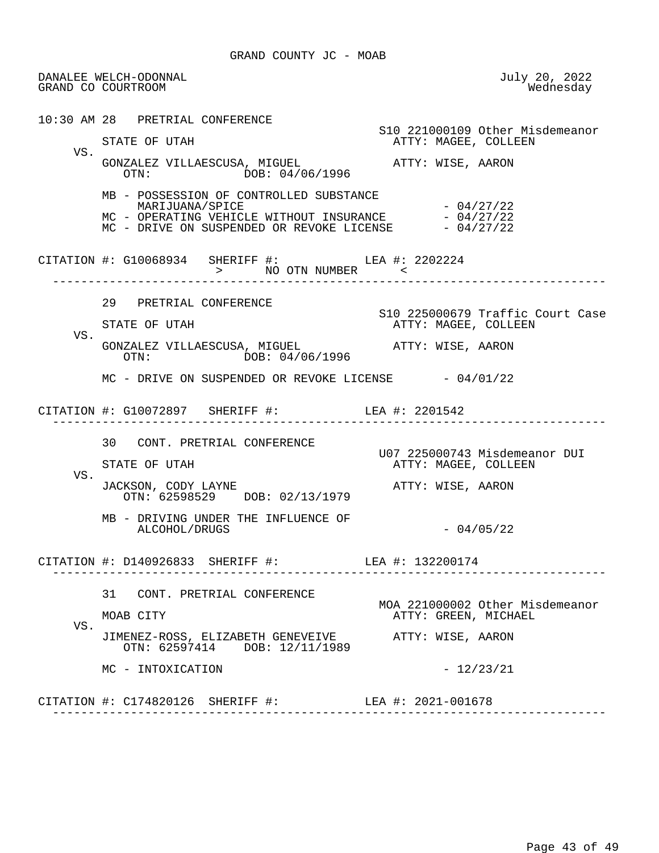DANALEE WELCH-ODONNAL July 20, 2022 GRAND CO COURTROOM 10:30 AM 28 PRETRIAL CONFERENCE S10 221000109 Other Misdemeanor ATTY: MAGEE, COLLEEN VS. GONZALEZ VILLAESCUSA, MIGUEL **ATTY: WISE, AARON**<br>OTN: DOR: 04/06/1996 DOB: 04/06/1996 MB - POSSESSION OF CONTROLLED SUBSTANCE MARIJUANA/SPICE - 04/27/22 MC - OPERATING VEHICLE WITHOUT INSURANCE  $-04/27/22$ <br>MC - DRIVE ON SUSPENDED OR REVOKE LICENSE  $-04/27/22$ MC - DRIVE ON SUSPENDED OR REVOKE LICENSE CITATION  $\#$ : G10068934 SHERIFF  $\#$ : LEA  $\#$ : 2202224 > NO OTN NUMBER<br>------------------------ ------------------------------------------------------------------------------ 29 PRETRIAL CONFERENCE STATE OF UTAH STATE OF UTAH SERVICE STATE OF UTAH STATE OF UTAH STATE OF UTAH STATE OF STATE OF STATE STATE ST ATTY: MAGEE, COLLEEN VS. GONZALEZ VILLAESCUSA, MIGUEL **ATTY: WISE, AARON**  OTN: DOB: 04/06/1996  $MC$  - DRIVE ON SUSPENDED OR REVOKE LICENSE  $-04/01/22$  CITATION #: G10072897 SHERIFF #: LEA #: 2201542 ------------------------------------------------------------------------------ 30 CONT. PRETRIAL CONFERENCE U07 225000743 Misdemeanor DUI ATTY: MAGEE, COLLEEN VS. JACKSON, CODY LAYNE ATTY: WISE, AARON OTN: 62598529 DOB: 02/13/1979 MB - DRIVING UNDER THE INFLUENCE OF  $ALCOHOL/DRUGS$   $-04/05/22$  CITATION #: D140926833 SHERIFF #: LEA #: 132200174 ------------------------------------------------------------------------------ 31 CONT. PRETRIAL CONFERENCE MOA 221000002 Other Misdemeanor<br>MOAB CITY CREEN, MICHAEL ATTY: GREEN, MICHAEL VS. JIMENEZ-ROSS, ELIZABETH GENEVEIVE ATTY: WISE, AARON OTN: 62597414 DOB: 12/11/1989  $MC - INTOXICATION$  - 12/23/21 CITATION #: C174820126 SHERIFF #: LEA #: 2021-001678 ------------------------------------------------------------------------------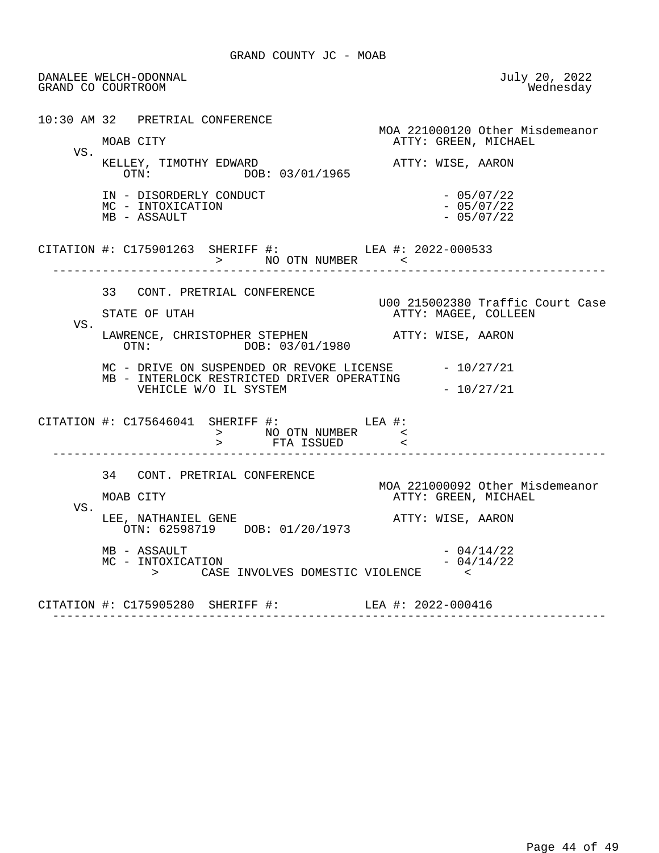DANALEE WELCH-ODONNAL July 20, 2022 GRAND CO COURTROOM 10:30 AM 32 PRETRIAL CONFERENCE MOA 221000120 Other Misdemeanor<br>MOAB CITY CREEN, MICHAEL ATTY: GREEN, MICHAEL VS. KELLEY, TIMOTHY EDWARD<br>
OTN: DOB: 03/01/1965<br>
OTN: DOB: 03/01/1965 DOB: 03/01/1965 IN - DISORDERLY CONDUCT - 05/07/22<br>MC - INTOXICATION - 05/07/22  $MC - INTOXICATION$ <br>  $MB - ASSAULT$ <br>  $MB - ASSAULT$ <br>  $MB - 05/07/22$  $MB - ASSAULT$  CITATION #: C175901263 SHERIFF #: LEA #: 2022-000533 > NO OTN NUMBER < ------------------------------------------------------------------------------ 33 CONT. PRETRIAL CONFERENCE U00 215002380 Traffic Court Case ATTY: MAGEE, COLLEEN VS. LAWRENCE, CHRISTOPHER STEPHEN **ATTY: WISE, AARON**<br>OTN: DOB: 03/01/1980 DOB: 03/01/1980 MC - DRIVE ON SUSPENDED OR REVOKE LICENSE - 10/27/21 MB - INTERLOCK RESTRICTED DRIVER OPERATING VEHICLE W/O IL SYSTEM  $-10/27/21$  CITATION #: C175646041 SHERIFF #: LEA #: > NO OTN NUMBER < > FTA ISSUED < ------------------------------------------------------------------------------ 34 CONT. PRETRIAL CONFERENCE MOA 221000092 Other Misdemeanor<br>MOAB CITY MOAB CITY ATTY: GREEN, MICHAEL ATTY: GREEN, MICHAEL VS. LEE, NATHANIEL GENE ATTY: WISE, AARON OTN: 62598719 DOB: 01/20/1973 MB - ASSAULT  $-$  04/14/22  $-$  04/14/22  $-$  04/14/22  $-$  04/14/22  $-$  04/14/22  $-$  04/14/22  $-$  04/14/22  $-$  04/14/22  $-$  04/14/22  $-$  04/14/22  $-$  04/14/22  $-$  04/14/22  $-$  04/14/22  $-$  04/14/22  $-$  04/14/22  $-$  04/14/22 MC - INTOXICATION - 04/14/22 > CASE INVOLVES DOMESTIC VIOLENCE < CITATION #: C175905280 SHERIFF #: LEA #: 2022-000416 ------------------------------------------------------------------------------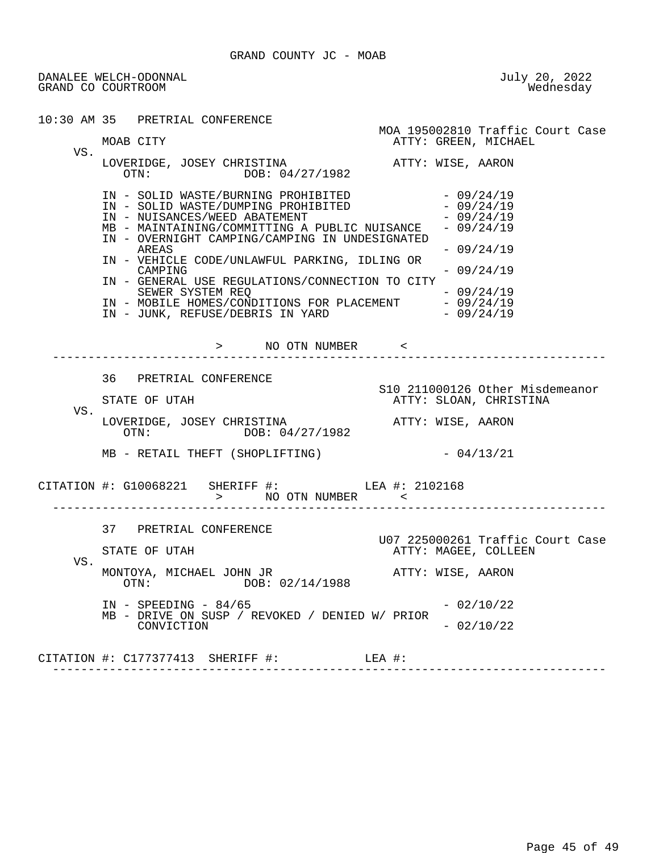DANALEE WELCH-ODONNAL July 20, 2022 GRAND CO COURTROOM

|     | 10:30 AM 35 PRETRIAL CONFERENCE                                                                                                                                                                                                                                                                                                                                                                                                                                                                        |                                                                                                       |
|-----|--------------------------------------------------------------------------------------------------------------------------------------------------------------------------------------------------------------------------------------------------------------------------------------------------------------------------------------------------------------------------------------------------------------------------------------------------------------------------------------------------------|-------------------------------------------------------------------------------------------------------|
|     | MOAB CITY                                                                                                                                                                                                                                                                                                                                                                                                                                                                                              | MOA 195002810 Traffic Court Case<br>ATTY: GREEN, MICHAEL                                              |
| VS. | LOVERIDGE, JOSEY CHRISTINA ATTY: WISE, AARON<br>OTN: DOB: 04/27/1982                                                                                                                                                                                                                                                                                                                                                                                                                                   |                                                                                                       |
|     | IN - SOLID WASTE/BURNING PROHIBITED<br>IN - SOLID WASTE/DUMPING PROHIBITED<br>IN - NUISANCES/WEED ABATEMENT<br>MB - MAINTAINING/COMMITTING A PUBLIC NUISANCE<br>IN - OVERNIGHT CAMPING/CAMPING IN UNDESIGNATED<br>AREAS<br>IN - VEHICLE CODE/UNLAWFUL PARKING, IDLING OR<br>CAMPING<br>IN - GENERAL USE REGULATIONS/CONNECTION TO CITY<br>SEWER SYSTEM REQ<br>IN - MOBILE HOMES/CONDITIONS FOR PLACEMENT - 09/24/19<br>IN - JUNK, REFUSE/DEBRIS IN YARD - 09/24/19<br>IN - JUNK, REFUSE/DEBRIS IN YARD | $-09/24/19$<br>$-09/24/19$<br>$-09/24/19$<br>$-09/24/19$<br>$-09/24/19$<br>$-09/24/19$<br>$-09/24/19$ |
|     |                                                                                                                                                                                                                                                                                                                                                                                                                                                                                                        | -------------------------                                                                             |
|     | 36 PRETRIAL CONFERENCE<br>STATE OF UTAH                                                                                                                                                                                                                                                                                                                                                                                                                                                                | S10 211000126 Other Misdemeanor<br>ATTY: SLOAN, CHRISTINA                                             |
| VS. | LOVERIDGE, JOSEY CHRISTINA ATTY: WISE, AARON OTN: DOB: 04/27/1982                                                                                                                                                                                                                                                                                                                                                                                                                                      |                                                                                                       |
|     | $MB$ - RETAIL THEFT (SHOPLIFTING) $-04/13/21$                                                                                                                                                                                                                                                                                                                                                                                                                                                          |                                                                                                       |
|     | CITATION #: G10068221 SHERIFF #: LEA #: 2102168                                                                                                                                                                                                                                                                                                                                                                                                                                                        |                                                                                                       |
| VS. | 37 PRETRIAL CONFERENCE<br>STATE OF UTAH                                                                                                                                                                                                                                                                                                                                                                                                                                                                | U07 225000261 Traffic Court Case<br>ATTY: MAGEE, COLLEEN                                              |
|     | MONTOYA, MICHAEL JOHN JR<br>OTN: DOB: 02/14/1988                                                                                                                                                                                                                                                                                                                                                                                                                                                       | ATTY: WISE, AARON                                                                                     |
|     | $IN - SPEEDING - 84/65$<br>MB - DRIVE ON SUSP / REVOKED / DENIED W/ PRIOR                                                                                                                                                                                                                                                                                                                                                                                                                              | $-02/10/22$                                                                                           |
|     | CONVICTION                                                                                                                                                                                                                                                                                                                                                                                                                                                                                             | $-02/10/22$                                                                                           |
|     | CITATION $\#$ : C177377413 SHERIFF $\#$ :                                                                                                                                                                                                                                                                                                                                                                                                                                                              | LEA #:                                                                                                |

------------------------------------------------------------------------------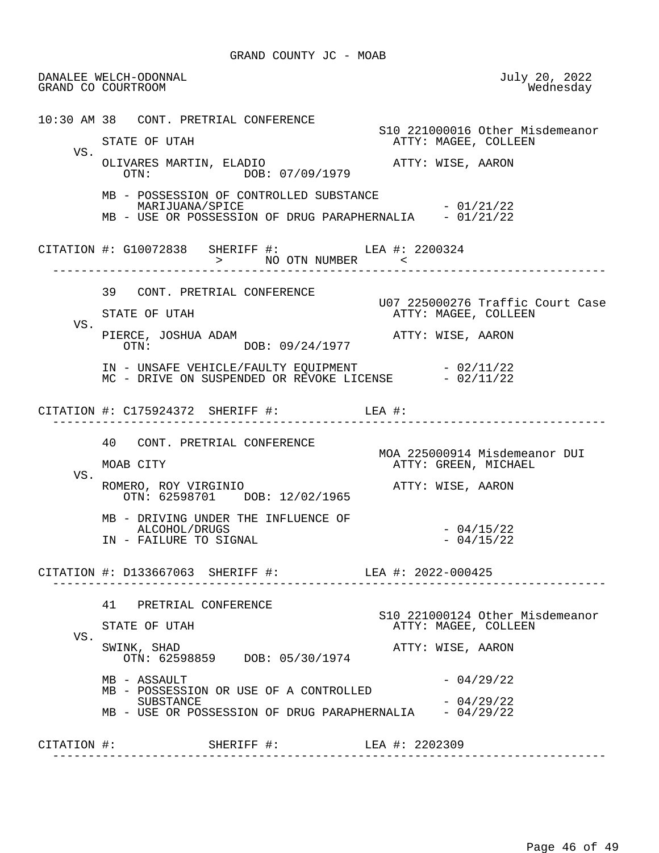DANALEE WELCH-ODONNAL July 20, 2022 GRAND CO COURTROOM 10:30 AM 38 CONT. PRETRIAL CONFERENCE S10 221000016 Other Misdemeanor ATTY: MAGEE, COLLEEN VS. OLIVARES MARTIN, ELADIO **ATTY: WISE, AARON**<br>OTN: 07/09/1979 OTN: DOB: 07/09/1979 MB - POSSESSION OF CONTROLLED SUBSTANCE MARIJUANA/SPICE - 01/21/22 MB - USE OR POSSESSION OF DRUG PARAPHERNALIA - 01/21/22 CITATION #: G10072838 SHERIFF #: LEA #: 2200324 > NO OTN NUMBER <<br>---------------------------- ------------------------------------------------------------------------------ 39 CONT. PRETRIAL CONFERENCE U07 225000276 Traffic Court Case ATTY: MAGEE, COLLEEN VS. PIERCE, JOSHUA ADAM <br>
OTN: DOB: 09/24/1977 ATTY: WISE, AARON DOB: 09/24/1977 IN - UNSAFE VEHICLE/FAULTY EQUIPMENT - 02/11/22 MC - DRIVE ON SUSPENDED OR REVOKE LICENSE - 02/11/22 CITATION #: C175924372 SHERIFF #: LEA #: ------------------------------------------------------------------------------ 40 CONT. PRETRIAL CONFERENCE MOA 225000914 Misdemeanor DUI<br>MOAB CITY CREEN, MICHAEL ATTY: GREEN, MICHAEL VS. ROMERO, ROY VIRGINIO ATTY: WISE, AARON OTN: 62598701 DOB: 12/02/1965 MB - DRIVING UNDER THE INFLUENCE OF ALCOHOL/DRUGS - 04/15/22<br>FAILURE TO SIGNAL - 104/15/22 - 04/15/22 IN - FAILURE TO SIGNAL CITATION #: D133667063 SHERIFF #: LEA #: 2022-000425 ------------------------------------------------------------------------------ 41 PRETRIAL CONFERENCE S10 221000124 Other Misdemeanor ATTY: MAGEE, COLLEEN VS. SWINK, SHAD **ATTY: WISE, AARON**  OTN: 62598859 DOB: 05/30/1974  $MB - ASSAULT$  - 04/29/22 MB - POSSESSION OR USE OF A CONTROLLED  $-04/29/22$ MB - USE OR POSSESSION OF DRUG PARAPHERNALIA - 04/29/22 CITATION #: SHERIFF #: LEA #: 2202309 ------------------------------------------------------------------------------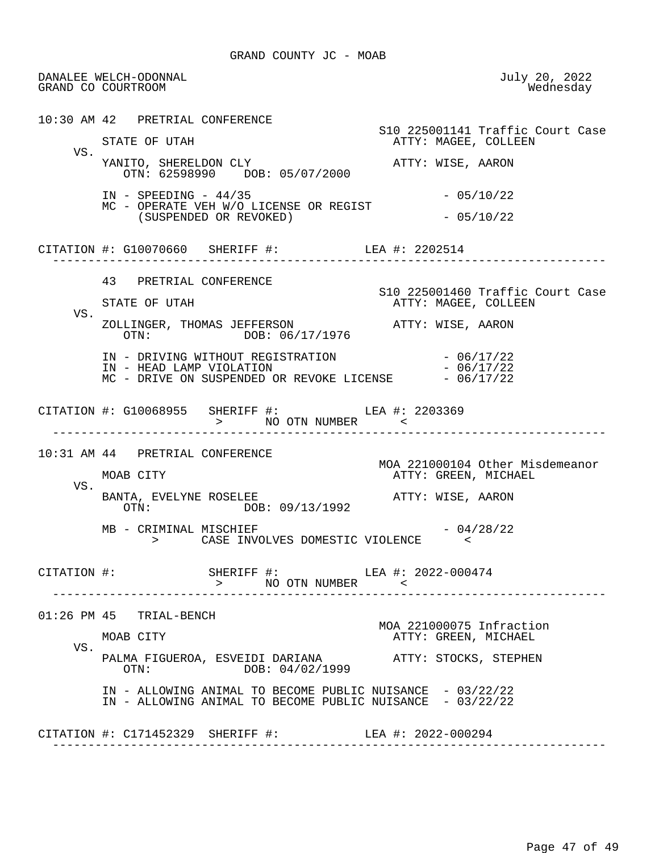DANALEE WELCH-ODONNAL July 20, 2022 GRAND CO COURTROOM 10:30 AM 42 PRETRIAL CONFERENCE S10 225001141 Traffic Court Case ATTY: MAGEE, COLLEEN VS. YANITO, SHERELDON CLY ATTY: WISE, AARON OTN: 62598990 DOB: 05/07/2000 IN - SPEEDING - 44/35 - 05/10/22 MC - OPERATE VEH W/O LICENSE OR REGIST  $(SUSPENDED OR REVOKED)$  - 05/10/22 CITATION #: G10070660 SHERIFF #: LEA #: 2202514 ------------------------------------------------------------------------------ 43 PRETRIAL CONFERENCE S10 225001460 Traffic Court Case ATTY: MAGEE, COLLEEN VS. ZOLLINGER, THOMAS JEFFERSON **ATTY: WISE, AARON**<br>OTN: DOB: 06/17/1976 OTN: DOB: 06/17/1976 IN - DRIVING WITHOUT REGISTRATION  $-06/17/22$ <br>IN - HEAD LAMP VIOLATION  $-06/17/22$ IN - HEAD LAMP VIOLATION  $MC$  - DRIVE ON SUSPENDED OR REVOKE LICENSE  $-06/17/22$  CITATION #: G10068955 SHERIFF #: LEA #: 2203369 > NO OTN NUMBER < ------------------------------------------------------------------------------ 10:31 AM 44 PRETRIAL CONFERENCE MOA 221000104 Other Misdemeanor ATTY: GREEN, MICHAEL VS. BANTA, EVELYNE ROSELEE<br>
OTN: DOB: 09/13/1992<br>
OTN: DOB: 09/13/1992 DOB: 09/13/1992  $MB - CRIMINAL$  MISCHIEF  $-04/28/22$  > CASE INVOLVES DOMESTIC VIOLENCE < CITATION #: SHERIFF #: LEA #: 2022-000474 > NO OTN NUMBER < ------------------------------------------------------------------------------ 01:26 PM 45 TRIAL-BENCH MOA 221000075 Infraction ATTY: GREEN, MICHAEL VS. PALMA FIGUEROA, ESVEIDI DARIANA ATTY: STOCKS, STEPHEN  $DOB: 04/02/1999$  IN - ALLOWING ANIMAL TO BECOME PUBLIC NUISANCE - 03/22/22 IN - ALLOWING ANIMAL TO BECOME PUBLIC NUISANCE - 03/22/22 CITATION #: C171452329 SHERIFF #: LEA #: 2022-000294 ------------------------------------------------------------------------------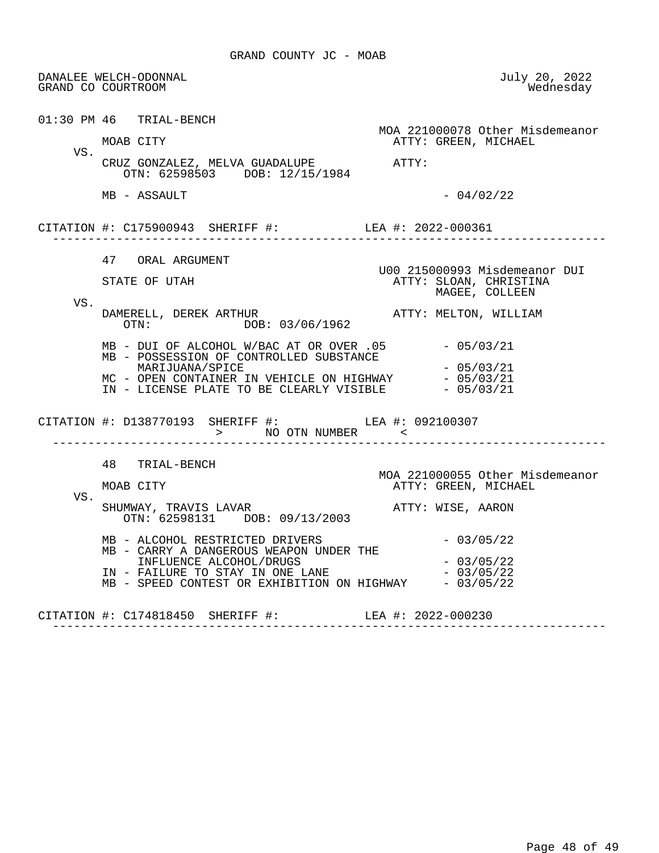|     | DANALEE WELCH-ODONNAL<br>GRAND CO COURTROOM                                                                                                                                                                                                                                     | July 20, 2022<br>Wednesday                                                |
|-----|---------------------------------------------------------------------------------------------------------------------------------------------------------------------------------------------------------------------------------------------------------------------------------|---------------------------------------------------------------------------|
|     | $01:30$ PM $46$ TRIAL-BENCH<br>MOAB CITY                                                                                                                                                                                                                                        | MOA 221000078 Other Misdemeanor<br>ATTY: GREEN, MICHAEL                   |
| VS. | CRUZ GONZALEZ, MELVA GUADALUPE ATTY:<br>OTN: 62598503 DOB: 12/15/1984                                                                                                                                                                                                           |                                                                           |
|     | MB - ASSAULT                                                                                                                                                                                                                                                                    | $-04/02/22$                                                               |
|     | CITATION #: C175900943 SHERIFF #: LEA #: 2022-000361                                                                                                                                                                                                                            |                                                                           |
|     | 47 ORAL ARGUMENT<br>STATE OF UTAH                                                                                                                                                                                                                                               | U00 215000993 Misdemeanor DUI<br>ATTY: SLOAN, CHRISTINA<br>MAGEE, COLLEEN |
| VS. | DAMERELL, DEREK ARTHUR<br>OTN: DOB: 03/06/1962                                                                                                                                                                                                                                  | ATTY: MELTON, WILLIAM                                                     |
|     | MB - DUI OF ALCOHOL W/BAC AT OR OVER .05 - 05/03/21<br>MB - POSSESSION OF CONTROLLED SUBSTANCE<br>MARIJUANA/SPICE<br>MC - OPEN CONTAINER IN VEHICLE ON HIGHWAY $-05/03/21$<br>IN - LICENSE PLATE TO BE CLEARLY VISIBLE $-05/03/21$                                              | - 05/03/21                                                                |
|     | CITATION #: D138770193 SHERIFF #: LEA #: 092100307<br>> NO OTN NUMBER And All Control (1)                                                                                                                                                                                       | ------------------                                                        |
|     | 48 TRIAL-BENCH<br>MOAB CITY                                                                                                                                                                                                                                                     | MOA 221000055 Other Misdemeanor<br>ATTY: GREEN, MICHAEL                   |
| VS. | SHUMWAY, TRAVIS LAVAR<br>OTN: 62598131 DOB: 09/13/2003                                                                                                                                                                                                                          | ATTY: WISE, AARON                                                         |
|     | MB - ALCOHOL RESTRICTED DRIVERS<br>MB - CARRY A DANGEROUS WEAPON UNDER THE<br>INFLUENCE ALCOHOL/DRUGS<br>INFLUENCE ALCOHOL/DRUGS<br>IN - FAILURE TO STAY IN ONE LANE<br>IN - FAILURE TO STAY IN ONE LANE $-03/05/22$<br>MB - SPEED CONTEST OR EXHIBITION ON HIGHWAY $-03/05/22$ | $-03/05/22$<br>$-03/05/22$                                                |
|     | CITATION #: C174818450 SHERIFF #:                                                                                                                                                                                                                                               | LEA #: 2022-000230                                                        |

------------------------------------------------------------------------------